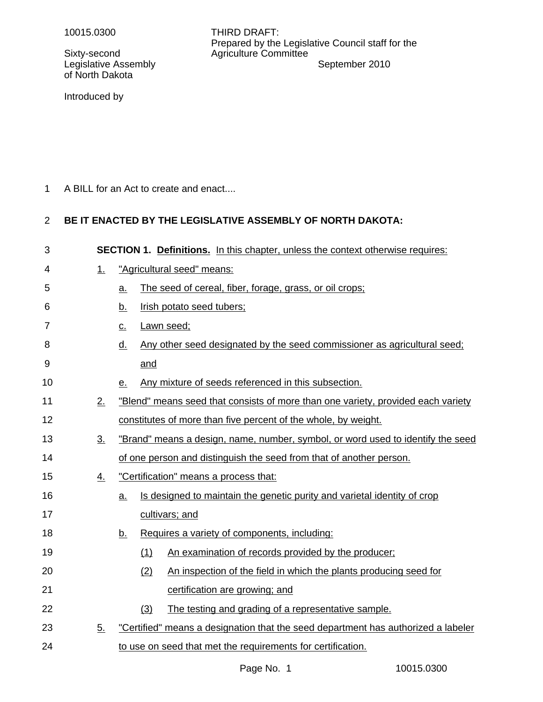Sixty-second **Agriculture Committee** of North Dakota

10015.0300 THIRD DRAFT: Prepared by the Legislative Council staff for the Legislative Assembly **September 2010** 

Introduced by

A BILL for an Act to create and enact.... 1

### **BE IT ENACTED BY THE LEGISLATIVE ASSEMBLY OF NORTH DAKOTA:** 2

| 3              |           | <b>SECTION 1. Definitions.</b> In this chapter, unless the context otherwise requires:        |  |  |  |
|----------------|-----------|-----------------------------------------------------------------------------------------------|--|--|--|
| 4              | 1.        | "Agricultural seed" means:                                                                    |  |  |  |
| 5              |           | The seed of cereal, fiber, forage, grass, or oil crops;<br><u>a.</u>                          |  |  |  |
| 6              |           | Irish potato seed tubers;<br><u>b.</u>                                                        |  |  |  |
| $\overline{7}$ |           | Lawn seed;<br>$\underline{\mathsf{C}}$ .                                                      |  |  |  |
| 8              |           | Any other seed designated by the seed commissioner as agricultural seed;<br><u>d.</u>         |  |  |  |
| 9              |           | and                                                                                           |  |  |  |
| 10             |           | Any mixture of seeds referenced in this subsection.<br><u>e.</u>                              |  |  |  |
| 11             | 2.        | "Blend" means seed that consists of more than one variety, provided each variety              |  |  |  |
| 12             |           | constitutes of more than five percent of the whole, by weight.                                |  |  |  |
| 13             | 3.        | "Brand" means a design, name, number, symbol, or word used to identify the seed               |  |  |  |
| 14             |           | of one person and distinguish the seed from that of another person.                           |  |  |  |
| 15             | <u>4.</u> | "Certification" means a process that:                                                         |  |  |  |
| 16             |           | Is designed to maintain the genetic purity and varietal identity of crop<br>$\underline{a}$ . |  |  |  |
| 17             |           | cultivars; and                                                                                |  |  |  |
| 18             |           | Requires a variety of components, including:<br><u>b.</u>                                     |  |  |  |
| 19             |           | An examination of records provided by the producer;<br>(1)                                    |  |  |  |
| 20             |           | An inspection of the field in which the plants producing seed for<br>(2)                      |  |  |  |
| 21             |           | certification are growing; and                                                                |  |  |  |
| 22             |           | (3)<br>The testing and grading of a representative sample.                                    |  |  |  |
| 23             | 5.        | "Certified" means a designation that the seed department has authorized a labeler             |  |  |  |
| 24             |           | to use on seed that met the requirements for certification.                                   |  |  |  |
|                |           |                                                                                               |  |  |  |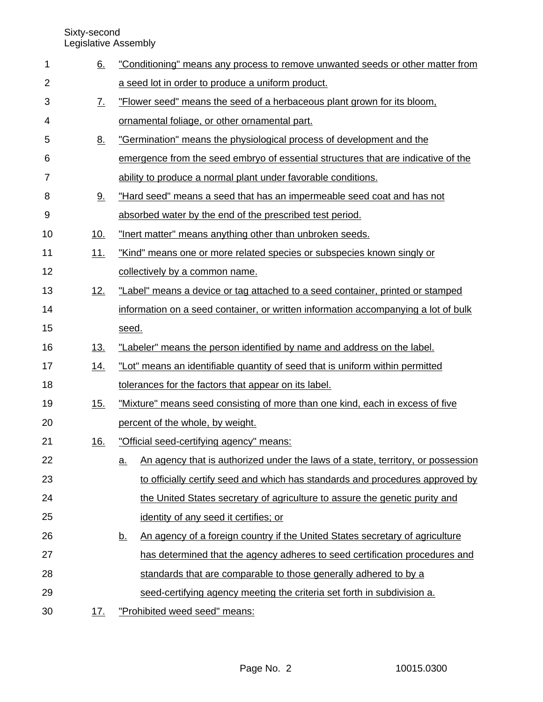Sixty-second

Legislative Assembly

| 1  | <u>6.</u>         | "Conditioning" means any process to remove unwanted seeds or other matter from                |  |  |  |
|----|-------------------|-----------------------------------------------------------------------------------------------|--|--|--|
| 2  |                   | a seed lot in order to produce a uniform product.                                             |  |  |  |
| 3  | $\underline{7}$ . | "Flower seed" means the seed of a herbaceous plant grown for its bloom,                       |  |  |  |
| 4  |                   | ornamental foliage, or other ornamental part.                                                 |  |  |  |
| 5  | <u>8.</u>         | "Germination" means the physiological process of development and the                          |  |  |  |
| 6  |                   | emergence from the seed embryo of essential structures that are indicative of the             |  |  |  |
| 7  |                   | ability to produce a normal plant under favorable conditions.                                 |  |  |  |
| 8  | 9.                | "Hard seed" means a seed that has an impermeable seed coat and has not                        |  |  |  |
| 9  |                   | absorbed water by the end of the prescribed test period.                                      |  |  |  |
| 10 | <u>10.</u>        | "Inert matter" means anything other than unbroken seeds.                                      |  |  |  |
| 11 | <u>11.</u>        | "Kind" means one or more related species or subspecies known singly or                        |  |  |  |
| 12 |                   | collectively by a common name.                                                                |  |  |  |
| 13 | <u>12.</u>        | "Label" means a device or tag attached to a seed container, printed or stamped                |  |  |  |
| 14 |                   | information on a seed container, or written information accompanying a lot of bulk            |  |  |  |
| 15 |                   | seed.                                                                                         |  |  |  |
| 16 | <u>13.</u>        | "Labeler" means the person identified by name and address on the label.                       |  |  |  |
| 17 | <u>14.</u>        | "Lot" means an identifiable quantity of seed that is uniform within permitted                 |  |  |  |
| 18 |                   | tolerances for the factors that appear on its label.                                          |  |  |  |
| 19 | <u>15.</u>        | "Mixture" means seed consisting of more than one kind, each in excess of five                 |  |  |  |
| 20 |                   | percent of the whole, by weight.                                                              |  |  |  |
| 21 | 16.               | "Official seed-certifying agency" means:                                                      |  |  |  |
| 22 |                   | An agency that is authorized under the laws of a state, territory, or possession<br><u>a.</u> |  |  |  |
| 23 |                   | to officially certify seed and which has standards and procedures approved by                 |  |  |  |
| 24 |                   | the United States secretary of agriculture to assure the genetic purity and                   |  |  |  |
| 25 |                   | identity of any seed it certifies; or                                                         |  |  |  |
| 26 |                   | An agency of a foreign country if the United States secretary of agriculture<br><u>b.</u>     |  |  |  |
| 27 |                   | has determined that the agency adheres to seed certification procedures and                   |  |  |  |
| 28 |                   | standards that are comparable to those generally adhered to by a                              |  |  |  |
| 29 |                   | seed-certifying agency meeting the criteria set forth in subdivision a.                       |  |  |  |
| 30 | <u>17.</u>        | "Prohibited weed seed" means:                                                                 |  |  |  |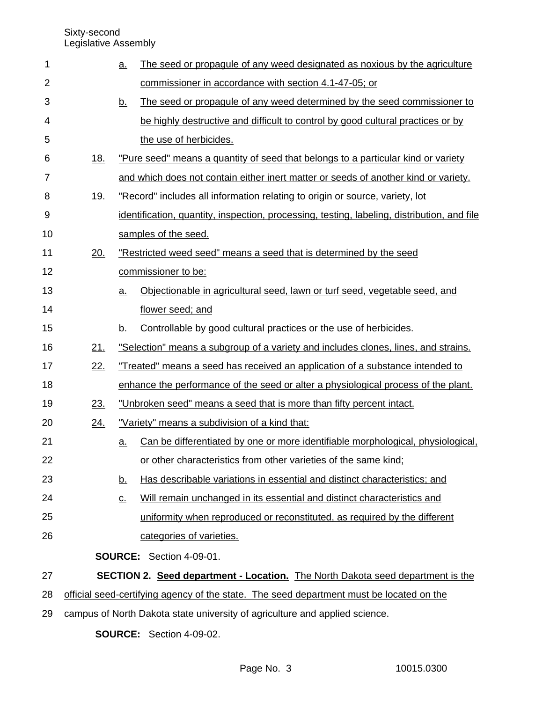| 1              |            | <u>a.</u>                  | The seed or propagule of any weed designated as noxious by the agriculture                  |  |  |
|----------------|------------|----------------------------|---------------------------------------------------------------------------------------------|--|--|
| $\overline{2}$ |            |                            | commissioner in accordance with section 4.1-47-05; or                                       |  |  |
| 3              |            | <u>b.</u>                  | The seed or propagule of any weed determined by the seed commissioner to                    |  |  |
| 4              |            |                            | be highly destructive and difficult to control by good cultural practices or by             |  |  |
| 5              |            |                            | the use of herbicides.                                                                      |  |  |
| 6              | <u>18.</u> |                            | "Pure seed" means a quantity of seed that belongs to a particular kind or variety           |  |  |
| 7              |            |                            | and which does not contain either inert matter or seeds of another kind or variety.         |  |  |
| 8              | 19.        |                            | "Record" includes all information relating to origin or source, variety, lot                |  |  |
| 9              |            |                            | identification, quantity, inspection, processing, testing, labeling, distribution, and file |  |  |
| 10             |            |                            | samples of the seed.                                                                        |  |  |
| 11             | 20.        |                            | "Restricted weed seed" means a seed that is determined by the seed                          |  |  |
| 12             |            |                            | commissioner to be:                                                                         |  |  |
| 13             |            | $a_{\cdot}$                | Objectionable in agricultural seed, lawn or turf seed, vegetable seed, and                  |  |  |
| 14             |            |                            | flower seed; and                                                                            |  |  |
| 15             |            | <u>b.</u>                  | Controllable by good cultural practices or the use of herbicides.                           |  |  |
| 16             | 21.        |                            | "Selection" means a subgroup of a variety and includes clones, lines, and strains.          |  |  |
| 17             | 22.        |                            | "Treated" means a seed has received an application of a substance intended to               |  |  |
| 18             |            |                            | enhance the performance of the seed or alter a physiological process of the plant.          |  |  |
| 19             | 23.        |                            | "Unbroken seed" means a seed that is more than fifty percent intact.                        |  |  |
| 20             | 24.        |                            | "Variety" means a subdivision of a kind that:                                               |  |  |
| 21             |            | <u>a.</u>                  | Can be differentiated by one or more identifiable morphological, physiological,             |  |  |
| 22             |            |                            | or other characteristics from other varieties of the same kind;                             |  |  |
| 23             |            | <u>b.</u>                  | Has describable variations in essential and distinct characteristics; and                   |  |  |
| 24             |            | $\underline{\mathsf{C}}$ . | Will remain unchanged in its essential and distinct characteristics and                     |  |  |
| 25             |            |                            | uniformity when reproduced or reconstituted, as required by the different                   |  |  |
| 26             |            |                            | categories of varieties.                                                                    |  |  |
|                |            |                            | <b>SOURCE:</b> Section 4-09-01.                                                             |  |  |
| 27             |            |                            | <b>SECTION 2. Seed department - Location.</b> The North Dakota seed department is the       |  |  |
| 28             |            |                            | official seed-certifying agency of the state. The seed department must be located on the    |  |  |
| 29             |            |                            | campus of North Dakota state university of agriculture and applied science.                 |  |  |

**SOURCE:** Section 4-09-02.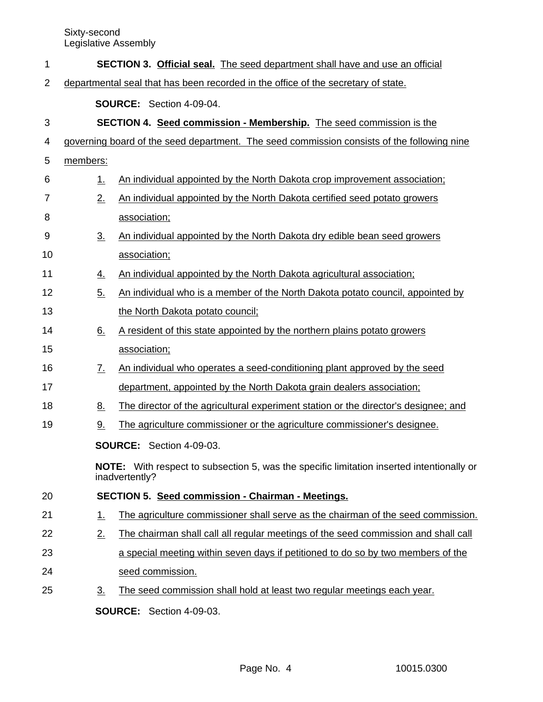| 1              |                                                                                   | <b>SECTION 3. Official seal.</b> The seed department shall have and use an official                                |  |  |  |  |  |
|----------------|-----------------------------------------------------------------------------------|--------------------------------------------------------------------------------------------------------------------|--|--|--|--|--|
| $\overline{2}$ | departmental seal that has been recorded in the office of the secretary of state. |                                                                                                                    |  |  |  |  |  |
|                |                                                                                   | <b>SOURCE:</b> Section 4-09-04.                                                                                    |  |  |  |  |  |
| 3              |                                                                                   | <b>SECTION 4. Seed commission - Membership.</b> The seed commission is the                                         |  |  |  |  |  |
| 4              |                                                                                   | governing board of the seed department. The seed commission consists of the following nine                         |  |  |  |  |  |
| 5              | members:                                                                          |                                                                                                                    |  |  |  |  |  |
| 6              | 1.                                                                                | An individual appointed by the North Dakota crop improvement association;                                          |  |  |  |  |  |
| 7              | 2.                                                                                | An individual appointed by the North Dakota certified seed potato growers                                          |  |  |  |  |  |
| 8              |                                                                                   | association;                                                                                                       |  |  |  |  |  |
| 9              | $\underline{3}$ .                                                                 | An individual appointed by the North Dakota dry edible bean seed growers                                           |  |  |  |  |  |
| 10             |                                                                                   | association;                                                                                                       |  |  |  |  |  |
| 11             | <u>4.</u>                                                                         | An individual appointed by the North Dakota agricultural association;                                              |  |  |  |  |  |
| 12             | 5.                                                                                | An individual who is a member of the North Dakota potato council, appointed by                                     |  |  |  |  |  |
| 13             |                                                                                   | the North Dakota potato council;                                                                                   |  |  |  |  |  |
| 14             | 6.                                                                                | A resident of this state appointed by the northern plains potato growers                                           |  |  |  |  |  |
| 15             |                                                                                   | association;                                                                                                       |  |  |  |  |  |
| 16             | <u>7.</u>                                                                         | An individual who operates a seed-conditioning plant approved by the seed                                          |  |  |  |  |  |
| 17             |                                                                                   | department, appointed by the North Dakota grain dealers association;                                               |  |  |  |  |  |
| 18             | <u>8.</u>                                                                         | The director of the agricultural experiment station or the director's designee; and                                |  |  |  |  |  |
| 19             | <u>9.</u>                                                                         | The agriculture commissioner or the agriculture commissioner's designee.                                           |  |  |  |  |  |
|                |                                                                                   | <b>SOURCE:</b> Section 4-09-03.                                                                                    |  |  |  |  |  |
|                |                                                                                   | <b>NOTE:</b> With respect to subsection 5, was the specific limitation inserted intentionally or<br>inadvertently? |  |  |  |  |  |
| 20             |                                                                                   | <b>SECTION 5. Seed commission - Chairman - Meetings.</b>                                                           |  |  |  |  |  |
| 21             | <u>1.</u>                                                                         | The agriculture commissioner shall serve as the chairman of the seed commission.                                   |  |  |  |  |  |
| 22             | 2.                                                                                | The chairman shall call all regular meetings of the seed commission and shall call                                 |  |  |  |  |  |
| 23             |                                                                                   | a special meeting within seven days if petitioned to do so by two members of the                                   |  |  |  |  |  |
| 24             |                                                                                   | seed commission.                                                                                                   |  |  |  |  |  |
| 25             | <u>3.</u>                                                                         | The seed commission shall hold at least two regular meetings each year.                                            |  |  |  |  |  |
|                |                                                                                   | <b>SOURCE:</b> Section 4-09-03.                                                                                    |  |  |  |  |  |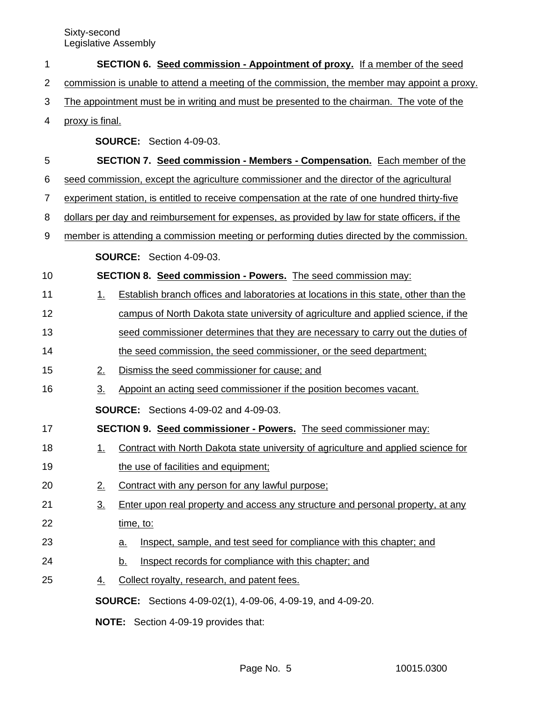| 1  |                                                                                             | SECTION 6. Seed commission - Appointment of proxy. If a member of the seed                     |  |  |  |  |  |
|----|---------------------------------------------------------------------------------------------|------------------------------------------------------------------------------------------------|--|--|--|--|--|
| 2  | commission is unable to attend a meeting of the commission, the member may appoint a proxy. |                                                                                                |  |  |  |  |  |
| 3  | The appointment must be in writing and must be presented to the chairman. The vote of the   |                                                                                                |  |  |  |  |  |
| 4  | proxy is final.                                                                             |                                                                                                |  |  |  |  |  |
|    |                                                                                             | <b>SOURCE:</b> Section 4-09-03.                                                                |  |  |  |  |  |
| 5  |                                                                                             | <b>SECTION 7. Seed commission - Members - Compensation.</b> Each member of the                 |  |  |  |  |  |
| 6  |                                                                                             | seed commission, except the agriculture commissioner and the director of the agricultural      |  |  |  |  |  |
| 7  |                                                                                             | experiment station, is entitled to receive compensation at the rate of one hundred thirty-five |  |  |  |  |  |
| 8  |                                                                                             | dollars per day and reimbursement for expenses, as provided by law for state officers, if the  |  |  |  |  |  |
| 9  |                                                                                             | member is attending a commission meeting or performing duties directed by the commission.      |  |  |  |  |  |
|    |                                                                                             | <b>SOURCE:</b> Section 4-09-03.                                                                |  |  |  |  |  |
| 10 |                                                                                             | SECTION 8. Seed commission - Powers. The seed commission may:                                  |  |  |  |  |  |
| 11 | 1.                                                                                          | Establish branch offices and laboratories at locations in this state, other than the           |  |  |  |  |  |
| 12 |                                                                                             | campus of North Dakota state university of agriculture and applied science, if the             |  |  |  |  |  |
| 13 |                                                                                             | seed commissioner determines that they are necessary to carry out the duties of                |  |  |  |  |  |
| 14 |                                                                                             | the seed commission, the seed commissioner, or the seed department;                            |  |  |  |  |  |
| 15 | 2.                                                                                          | Dismiss the seed commissioner for cause; and                                                   |  |  |  |  |  |
| 16 | $\underline{3}$ .                                                                           | Appoint an acting seed commissioner if the position becomes vacant.                            |  |  |  |  |  |
|    | <b>SOURCE:</b> Sections 4-09-02 and 4-09-03.                                                |                                                                                                |  |  |  |  |  |
| 17 |                                                                                             | SECTION 9. Seed commissioner - Powers. The seed commissioner may:                              |  |  |  |  |  |
| 18 | 1.                                                                                          | Contract with North Dakota state university of agriculture and applied science for             |  |  |  |  |  |
| 19 |                                                                                             | the use of facilities and equipment;                                                           |  |  |  |  |  |
| 20 | 2.                                                                                          | Contract with any person for any lawful purpose;                                               |  |  |  |  |  |
| 21 | $\underline{3}$ .                                                                           | Enter upon real property and access any structure and personal property, at any                |  |  |  |  |  |
| 22 |                                                                                             | time, to:                                                                                      |  |  |  |  |  |
| 23 |                                                                                             | Inspect, sample, and test seed for compliance with this chapter; and<br><u>a.</u>              |  |  |  |  |  |
| 24 |                                                                                             | Inspect records for compliance with this chapter; and<br><u>b.</u>                             |  |  |  |  |  |
| 25 | 4.                                                                                          | Collect royalty, research, and patent fees.                                                    |  |  |  |  |  |
|    |                                                                                             | <b>SOURCE:</b> Sections 4-09-02(1), 4-09-06, 4-09-19, and 4-09-20.                             |  |  |  |  |  |
|    |                                                                                             | NOTE: Section 4-09-19 provides that:                                                           |  |  |  |  |  |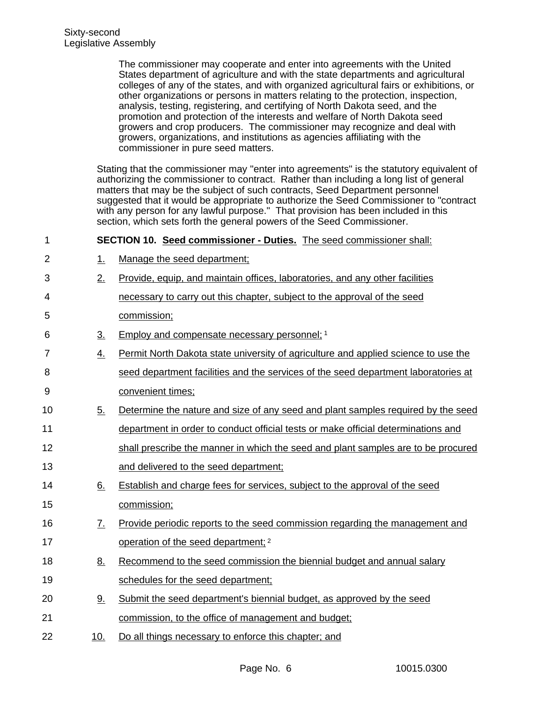The commissioner may cooperate and enter into agreements with the United States department of agriculture and with the state departments and agricultural colleges of any of the states, and with organized agricultural fairs or exhibitions, or other organizations or persons in matters relating to the protection, inspection, analysis, testing, registering, and certifying of North Dakota seed, and the promotion and protection of the interests and welfare of North Dakota seed growers and crop producers. The commissioner may recognize and deal with growers, organizations, and institutions as agencies affiliating with the commissioner in pure seed matters.

Stating that the commissioner may "enter into agreements" is the statutory equivalent of authorizing the commissioner to contract. Rather than including a long list of general matters that may be the subject of such contracts, Seed Department personnel suggested that it would be appropriate to authorize the Seed Commissioner to "contract with any person for any lawful purpose." That provision has been included in this section, which sets forth the general powers of the Seed Commissioner.

**SECTION 10. Seed commissioner - Duties.** The seed commissioner shall: 1

- 1. Manage the seed department; 2
- 2. Provide, equip, and maintain offices, laboratories, and any other facilities 3
- necessary to carry out this chapter, subject to the approval of the seed 4 5
	- commission;

6

- 3. Employ and compensate necessary personnel; 1
- 4. Permit North Dakota state university of agriculture and applied science to use the seed department facilities and the services of the seed department laboratories at convenient times; 7 8 9
- 5. Determine the nature and size of any seed and plant samples required by the seed 10
- department in order to conduct official tests or make official determinations and 11
- shall prescribe the manner in which the seed and plant samples are to be procured 12
- and delivered to the seed department; 13
- 6. Establish and charge fees for services, subject to the approval of the seed commission;  $14$ 15
- 7. Provide periodic reports to the seed commission regarding the management and operation of the seed department; <sup>2</sup> 16 17
- 8. Recommend to the seed commission the biennial budget and annual salary schedules for the seed department; 18 19
- 9. Submit the seed department's biennial budget, as approved by the seed commission, to the office of management and budget; 20 21
- 10. Do all things necessary to enforce this chapter; and 22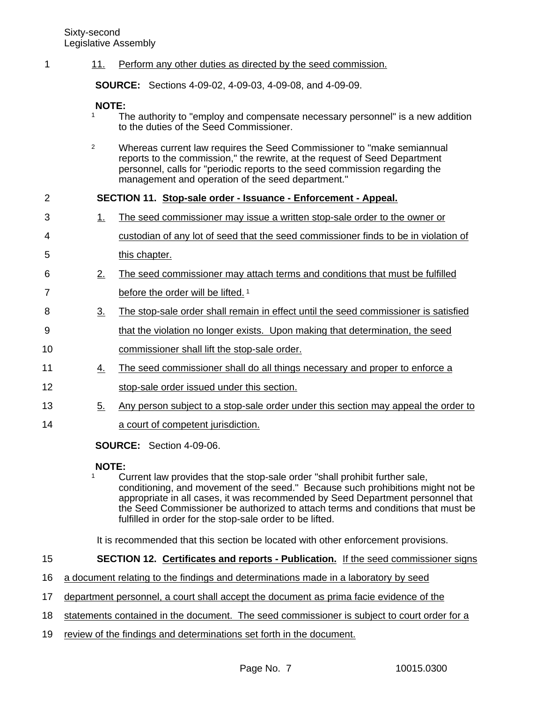#### 11. Perform any other duties as directed by the seed commission. 1

**SOURCE:** Sections 4-09-02, 4-09-03, 4-09-08, and 4-09-09.

**NOTE:** 

- The authority to "employ and compensate necessary personnel" is a new addition to the duties of the Seed Commissioner.
- <sup>2</sup> Whereas current law requires the Seed Commissioner to "make semiannual reports to the commission," the rewrite, at the request of Seed Department personnel, calls for "periodic reports to the seed commission regarding the management and operation of the seed department."

## **SECTION 11. Stop-sale order - Issuance - Enforcement - Appeal.**  $\mathfrak{p}$

- 1. The seed commissioner may issue a written stop-sale order to the owner or 3
- custodian of any lot of seed that the seed commissioner finds to be in violation of 4
- this chapter. 5
- 2. The seed commissioner may attach terms and conditions that must be fulfilled before the order will be lifted.<sup>1</sup> 6 7
- 3. The stop-sale order shall remain in effect until the seed commissioner is satisfied 8
- that the violation no longer exists. Upon making that determination, the seed 9
- commissioner shall lift the stop-sale order. 10
- 4. The seed commissioner shall do all things necessary and proper to enforce a 11
- stop-sale order issued under this section. 12
- 5. Any person subject to a stop-sale order under this section may appeal the order to 13
- a court of competent jurisdiction. 14

**SOURCE:** Section 4-09-06.

# **NOTE:**

<sup>1</sup> Current law provides that the stop-sale order "shall prohibit further sale, conditioning, and movement of the seed." Because such prohibitions might not be appropriate in all cases, it was recommended by Seed Department personnel that the Seed Commissioner be authorized to attach terms and conditions that must be fulfilled in order for the stop-sale order to be lifted.

It is recommended that this section be located with other enforcement provisions.

## **SECTION 12. Certificates and reports - Publication.** If the seed commissioner signs 15

- a document relating to the findings and determinations made in a laboratory by seed 16
- department personnel, a court shall accept the document as prima facie evidence of the 17
- statements contained in the document. The seed commissioner is subject to court order for a 18
- review of the findings and determinations set forth in the document. 19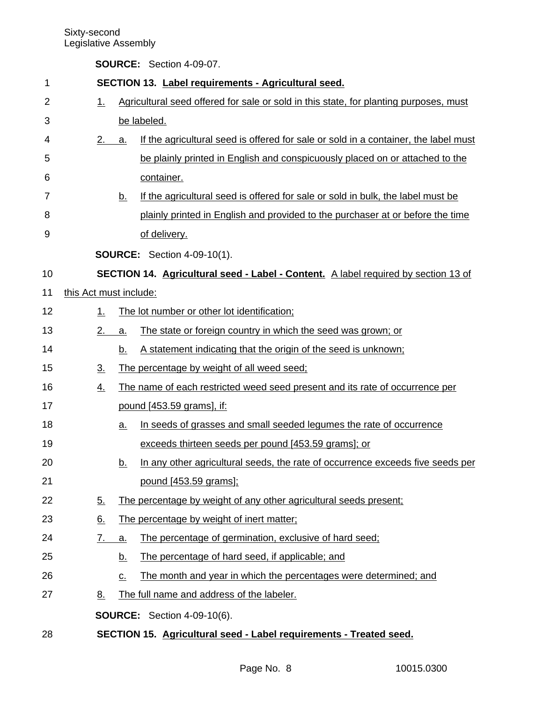| 1              |                        |                            | SECTION 13. Label requirements - Agricultural seed.                                   |  |  |  |
|----------------|------------------------|----------------------------|---------------------------------------------------------------------------------------|--|--|--|
| $\overline{2}$ | 1.                     |                            | Agricultural seed offered for sale or sold in this state, for planting purposes, must |  |  |  |
| 3              |                        |                            | be labeled.                                                                           |  |  |  |
| 4              | 2.                     | a.                         | If the agricultural seed is offered for sale or sold in a container, the label must   |  |  |  |
| 5              |                        |                            | be plainly printed in English and conspicuously placed on or attached to the          |  |  |  |
| 6              |                        |                            | container.                                                                            |  |  |  |
| 7              |                        | <u>b.</u>                  | If the agricultural seed is offered for sale or sold in bulk, the label must be       |  |  |  |
| 8              |                        |                            | plainly printed in English and provided to the purchaser at or before the time        |  |  |  |
| 9              |                        |                            | of delivery.                                                                          |  |  |  |
|                |                        |                            | <b>SOURCE:</b> Section 4-09-10(1).                                                    |  |  |  |
| 10             |                        |                            | SECTION 14. Agricultural seed - Label - Content. A label required by section 13 of    |  |  |  |
| 11             | this Act must include: |                            |                                                                                       |  |  |  |
| 12             | 1.                     |                            | The lot number or other lot identification;                                           |  |  |  |
| 13             | 2.                     | a.                         | The state or foreign country in which the seed was grown; or                          |  |  |  |
| 14             |                        | b.                         | A statement indicating that the origin of the seed is unknown;                        |  |  |  |
| 15             | $\underline{3}$ .      |                            | The percentage by weight of all weed seed;                                            |  |  |  |
| 16             | $\overline{4}$ .       |                            | The name of each restricted weed seed present and its rate of occurrence per          |  |  |  |
| 17             |                        |                            | pound [453.59 grams], if:                                                             |  |  |  |
| 18             |                        | <u>a.</u>                  | In seeds of grasses and small seeded legumes the rate of occurrence                   |  |  |  |
| 19             |                        |                            | exceeds thirteen seeds per pound [453.59 grams]; or                                   |  |  |  |
| 20             |                        | b.                         | In any other agricultural seeds, the rate of occurrence exceeds five seeds per        |  |  |  |
| 21             |                        |                            | pound [453.59 grams];                                                                 |  |  |  |
| 22             | <u>5.</u>              |                            | The percentage by weight of any other agricultural seeds present;                     |  |  |  |
| 23             | 6.                     |                            | The percentage by weight of inert matter;                                             |  |  |  |
| 24             | <u>7. </u>             | a.                         | The percentage of germination, exclusive of hard seed;                                |  |  |  |
| 25             |                        | <u>b.</u>                  | The percentage of hard seed, if applicable; and                                       |  |  |  |
| 26             |                        | $\underline{\mathsf{C}}$ . | The month and year in which the percentages were determined; and                      |  |  |  |
| 27             | <u>8.</u>              |                            | The full name and address of the labeler.                                             |  |  |  |
|                |                        |                            | <b>SOURCE:</b> Section 4-09-10(6).                                                    |  |  |  |
| 28             |                        |                            | SECTION 15. Agricultural seed - Label requirements - Treated seed.                    |  |  |  |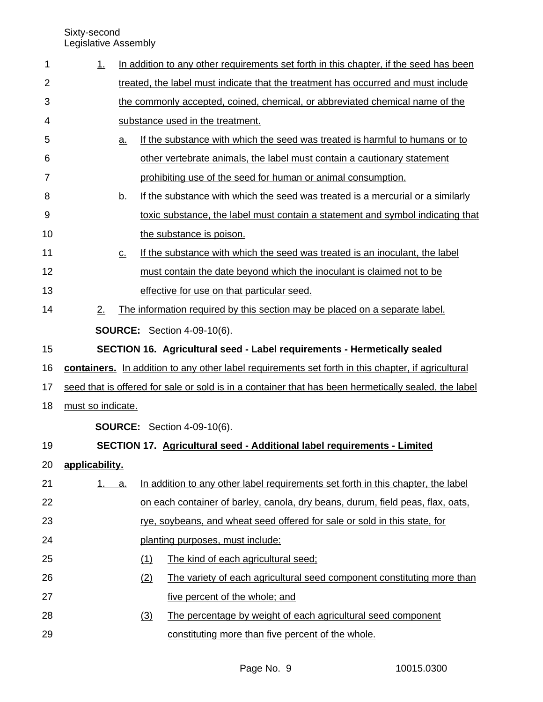| 1  | <u>1.</u>                                                                                            |                   |                                                                                   | In addition to any other requirements set forth in this chapter, if the seed has been |  |  |
|----|------------------------------------------------------------------------------------------------------|-------------------|-----------------------------------------------------------------------------------|---------------------------------------------------------------------------------------|--|--|
| 2  |                                                                                                      |                   | treated, the label must indicate that the treatment has occurred and must include |                                                                                       |  |  |
| 3  |                                                                                                      |                   | the commonly accepted, coined, chemical, or abbreviated chemical name of the      |                                                                                       |  |  |
| 4  |                                                                                                      |                   |                                                                                   | substance used in the treatment.                                                      |  |  |
| 5  |                                                                                                      | <u>a.</u>         |                                                                                   | If the substance with which the seed was treated is harmful to humans or to           |  |  |
| 6  |                                                                                                      |                   |                                                                                   | other vertebrate animals, the label must contain a cautionary statement               |  |  |
| 7  |                                                                                                      |                   |                                                                                   | prohibiting use of the seed for human or animal consumption.                          |  |  |
| 8  |                                                                                                      | <u>b.</u>         |                                                                                   | If the substance with which the seed was treated is a mercurial or a similarly        |  |  |
| 9  |                                                                                                      |                   |                                                                                   | toxic substance, the label must contain a statement and symbol indicating that        |  |  |
| 10 |                                                                                                      |                   |                                                                                   | the substance is poison.                                                              |  |  |
| 11 |                                                                                                      | $\underline{C}$ . |                                                                                   | If the substance with which the seed was treated is an inoculant, the label           |  |  |
| 12 |                                                                                                      |                   |                                                                                   | must contain the date beyond which the inoculant is claimed not to be                 |  |  |
| 13 |                                                                                                      |                   |                                                                                   | effective for use on that particular seed.                                            |  |  |
| 14 | 2.                                                                                                   |                   |                                                                                   | The information required by this section may be placed on a separate label.           |  |  |
|    |                                                                                                      |                   |                                                                                   | <b>SOURCE:</b> Section 4-09-10(6).                                                    |  |  |
| 15 |                                                                                                      |                   |                                                                                   | SECTION 16. Agricultural seed - Label requirements - Hermetically sealed              |  |  |
| 16 | containers. In addition to any other label requirements set forth in this chapter, if agricultural   |                   |                                                                                   |                                                                                       |  |  |
| 17 | seed that is offered for sale or sold is in a container that has been hermetically sealed, the label |                   |                                                                                   |                                                                                       |  |  |
| 18 | must so indicate.                                                                                    |                   |                                                                                   |                                                                                       |  |  |
|    |                                                                                                      |                   |                                                                                   | <b>SOURCE:</b> Section 4-09-10(6).                                                    |  |  |
| 19 |                                                                                                      |                   |                                                                                   | SECTION 17. Agricultural seed - Additional label requirements - Limited               |  |  |
| 20 | applicability.                                                                                       |                   |                                                                                   |                                                                                       |  |  |
| 21 | 1.                                                                                                   | <u>a.</u>         |                                                                                   | In addition to any other label requirements set forth in this chapter, the label      |  |  |
| 22 |                                                                                                      |                   |                                                                                   | on each container of barley, canola, dry beans, durum, field peas, flax, oats,        |  |  |
| 23 |                                                                                                      |                   |                                                                                   | rye, soybeans, and wheat seed offered for sale or sold in this state, for             |  |  |
| 24 |                                                                                                      |                   | planting purposes, must include:                                                  |                                                                                       |  |  |
| 25 |                                                                                                      |                   | (1)                                                                               | The kind of each agricultural seed;                                                   |  |  |
| 26 |                                                                                                      |                   | (2)                                                                               | The variety of each agricultural seed component constituting more than                |  |  |
| 27 |                                                                                                      |                   |                                                                                   | five percent of the whole; and                                                        |  |  |
| 28 |                                                                                                      |                   | (3)                                                                               | The percentage by weight of each agricultural seed component                          |  |  |
| 29 |                                                                                                      |                   |                                                                                   | constituting more than five percent of the whole.                                     |  |  |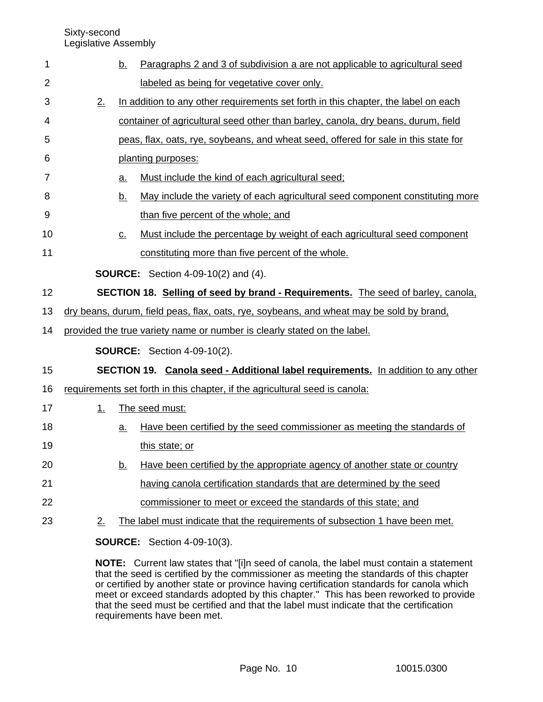Sixty-second

Legislative Assembly

| 1              |                                                                          | <u>b.</u>                                                                         | Paragraphs 2 and 3 of subdivision a are not applicable to agricultural seed              |  |  |
|----------------|--------------------------------------------------------------------------|-----------------------------------------------------------------------------------|------------------------------------------------------------------------------------------|--|--|
| $\overline{2}$ |                                                                          |                                                                                   | labeled as being for vegetative cover only.                                              |  |  |
| 3              | 2.                                                                       |                                                                                   | In addition to any other requirements set forth in this chapter, the label on each       |  |  |
| 4              |                                                                          | container of agricultural seed other than barley, canola, dry beans, durum, field |                                                                                          |  |  |
| 5              |                                                                          |                                                                                   | peas, flax, oats, rye, soybeans, and wheat seed, offered for sale in this state for      |  |  |
| 6              |                                                                          |                                                                                   | planting purposes:                                                                       |  |  |
| 7              |                                                                          | a.                                                                                | Must include the kind of each agricultural seed;                                         |  |  |
| 8              |                                                                          | <u>b.</u>                                                                         | May include the variety of each agricultural seed component constituting more            |  |  |
| 9              |                                                                          |                                                                                   | than five percent of the whole; and                                                      |  |  |
| 10             |                                                                          | $\underline{C}$ .                                                                 | Must include the percentage by weight of each agricultural seed component                |  |  |
| 11             |                                                                          |                                                                                   | constituting more than five percent of the whole.                                        |  |  |
|                |                                                                          |                                                                                   | <b>SOURCE:</b> Section 4-09-10(2) and (4).                                               |  |  |
| 12             |                                                                          |                                                                                   | <b>SECTION 18. Selling of seed by brand - Requirements.</b> The seed of barley, canola,  |  |  |
| 13             |                                                                          |                                                                                   | dry beans, durum, field peas, flax, oats, rye, soybeans, and wheat may be sold by brand, |  |  |
| 14             | provided the true variety name or number is clearly stated on the label. |                                                                                   |                                                                                          |  |  |
|                |                                                                          |                                                                                   | <b>SOURCE:</b> Section 4-09-10(2).                                                       |  |  |
| 15             |                                                                          |                                                                                   | SECTION 19. Canola seed - Additional label requirements. In addition to any other        |  |  |
| 16             |                                                                          |                                                                                   | requirements set forth in this chapter, if the agricultural seed is canola:              |  |  |
| 17             | 1.                                                                       |                                                                                   | The seed must:                                                                           |  |  |
| 18             |                                                                          | <u>a.</u>                                                                         | Have been certified by the seed commissioner as meeting the standards of                 |  |  |
| 19             |                                                                          |                                                                                   | this state; or                                                                           |  |  |
| 20             |                                                                          | <u>b.</u>                                                                         | Have been certified by the appropriate agency of another state or country                |  |  |
| 21             |                                                                          |                                                                                   | having canola certification standards that are determined by the seed                    |  |  |
| 22             |                                                                          |                                                                                   | commissioner to meet or exceed the standards of this state; and                          |  |  |
| 23             | 2.                                                                       |                                                                                   | The label must indicate that the requirements of subsection 1 have been met.             |  |  |
|                |                                                                          |                                                                                   | <b>SOURCE:</b> Section 4-09-10(3).                                                       |  |  |

**NOTE:** Current law states that "[i]n seed of canola, the label must contain a statement that the seed is certified by the commissioner as meeting the standards of this chapter or certified by another state or province having certification standards for canola which meet or exceed standards adopted by this chapter." This has been reworked to provide that the seed must be certified and that the label must indicate that the certification requirements have been met.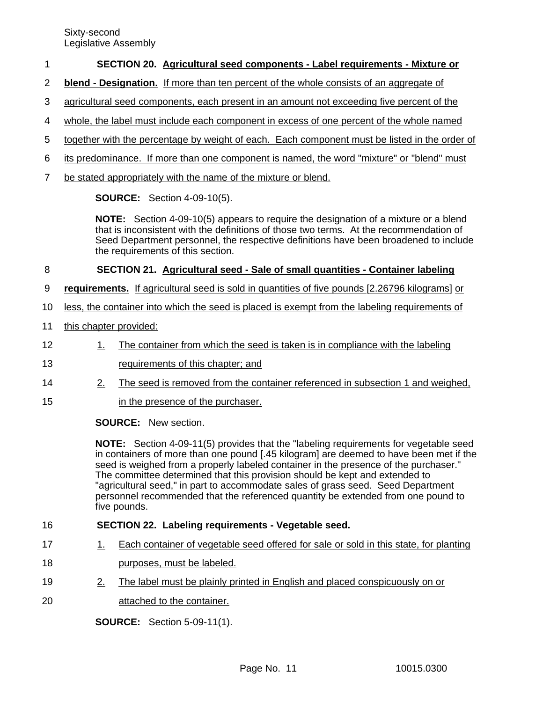## **SECTION 20. Agricultural seed components - Label requirements - Mixture or** 1

- **blend Designation.** If more than ten percent of the whole consists of an aggregate of 2
- agricultural seed components, each present in an amount not exceeding five percent of the 3
- whole, the label must include each component in excess of one percent of the whole named 4
- together with the percentage by weight of each. Each component must be listed in the order of 5
- its predominance. If more than one component is named, the word "mixture" or "blend" must 6
- be stated appropriately with the name of the mixture or blend. 7

**SOURCE:** Section 4-09-10(5).

**NOTE:** Section 4-09-10(5) appears to require the designation of a mixture or a blend that is inconsistent with the definitions of those two terms. At the recommendation of Seed Department personnel, the respective definitions have been broadened to include the requirements of this section.

### **SECTION 21. Agricultural seed - Sale of small quantities - Container labeling** 8

- **requirements.** If agricultural seed is sold in quantities of five pounds [2.26796 kilograms] or 9
- less, the container into which the seed is placed is exempt from the labeling requirements of 10
- this chapter provided: 11
- 1. The container from which the seed is taken is in compliance with the labeling 12
- requirements of this chapter; and 13
- 2. The seed is removed from the container referenced in subsection 1 and weighed, 14
- in the presence of the purchaser. 15

# **SOURCE:** New section.

**NOTE:** Section 4-09-11(5) provides that the "labeling requirements for vegetable seed in containers of more than one pound [.45 kilogram] are deemed to have been met if the seed is weighed from a properly labeled container in the presence of the purchaser." The committee determined that this provision should be kept and extended to "agricultural seed," in part to accommodate sales of grass seed. Seed Department personnel recommended that the referenced quantity be extended from one pound to five pounds.

## **SECTION 22. Labeling requirements - Vegetable seed.** 16

- 1. Each container of vegetable seed offered for sale or sold in this state, for planting 17
- purposes, must be labeled. 18
- 2. The label must be plainly printed in English and placed conspicuously on or 19
- attached to the container. 20

**SOURCE:** Section 5-09-11(1).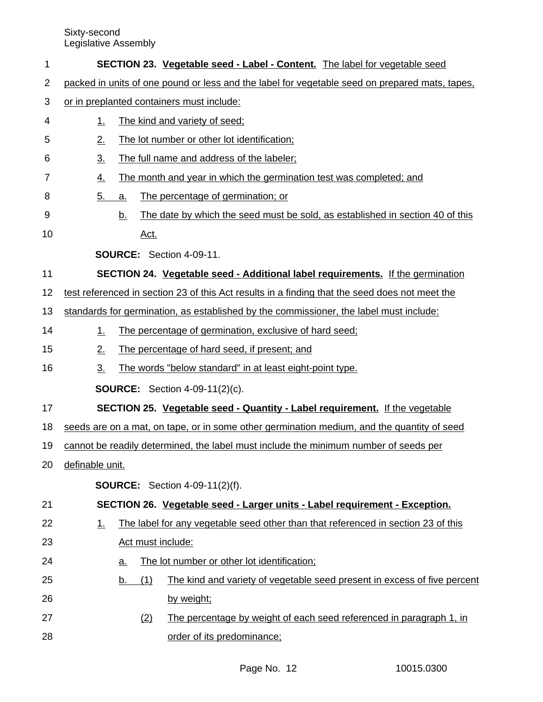| 1  | <b>SECTION 23. Vegetable seed - Label - Content.</b> The label for vegetable seed              |  |  |  |  |  |  |
|----|------------------------------------------------------------------------------------------------|--|--|--|--|--|--|
| 2  | packed in units of one pound or less and the label for vegetable seed on prepared mats, tapes, |  |  |  |  |  |  |
| 3  | or in preplanted containers must include:                                                      |  |  |  |  |  |  |
| 4  | The kind and variety of seed;<br><u>1.</u>                                                     |  |  |  |  |  |  |
| 5  | The lot number or other lot identification;<br>2.                                              |  |  |  |  |  |  |
| 6  | The full name and address of the labeler;<br>$\underline{3}$ .                                 |  |  |  |  |  |  |
| 7  | The month and year in which the germination test was completed; and<br><u>4.</u>               |  |  |  |  |  |  |
| 8  | 5.<br>The percentage of germination; or<br>a.                                                  |  |  |  |  |  |  |
| 9  | The date by which the seed must be sold, as established in section 40 of this<br><u>b.</u>     |  |  |  |  |  |  |
| 10 | <u>Act.</u>                                                                                    |  |  |  |  |  |  |
|    | <b>SOURCE:</b> Section 4-09-11.                                                                |  |  |  |  |  |  |
| 11 | SECTION 24. Vegetable seed - Additional label requirements. If the germination                 |  |  |  |  |  |  |
| 12 | test referenced in section 23 of this Act results in a finding that the seed does not meet the |  |  |  |  |  |  |
| 13 | standards for germination, as established by the commissioner, the label must include:         |  |  |  |  |  |  |
| 14 | The percentage of germination, exclusive of hard seed;<br>1.                                   |  |  |  |  |  |  |
| 15 | The percentage of hard seed, if present; and<br>2.                                             |  |  |  |  |  |  |
| 16 | 3.<br>The words "below standard" in at least eight-point type.                                 |  |  |  |  |  |  |
|    | <b>SOURCE:</b> Section 4-09-11(2)(c).                                                          |  |  |  |  |  |  |
| 17 | <b>SECTION 25. Vegetable seed - Quantity - Label requirement.</b> If the vegetable             |  |  |  |  |  |  |
| 18 | seeds are on a mat, on tape, or in some other germination medium, and the quantity of seed     |  |  |  |  |  |  |
| 19 | cannot be readily determined, the label must include the minimum number of seeds per           |  |  |  |  |  |  |
| 20 | definable unit.                                                                                |  |  |  |  |  |  |
|    | <b>SOURCE:</b> Section 4-09-11(2)(f).                                                          |  |  |  |  |  |  |
| 21 | SECTION 26. Vegetable seed - Larger units - Label requirement - Exception.                     |  |  |  |  |  |  |
| 22 | The label for any vegetable seed other than that referenced in section 23 of this<br>1.        |  |  |  |  |  |  |
| 23 | Act must include:                                                                              |  |  |  |  |  |  |
| 24 | The lot number or other lot identification;<br><u>a.</u>                                       |  |  |  |  |  |  |
| 25 | The kind and variety of vegetable seed present in excess of five percent<br>(1)<br>b.          |  |  |  |  |  |  |
| 26 | by weight;                                                                                     |  |  |  |  |  |  |
| 27 | The percentage by weight of each seed referenced in paragraph 1, in<br>(2)                     |  |  |  |  |  |  |
| 28 | order of its predominance;                                                                     |  |  |  |  |  |  |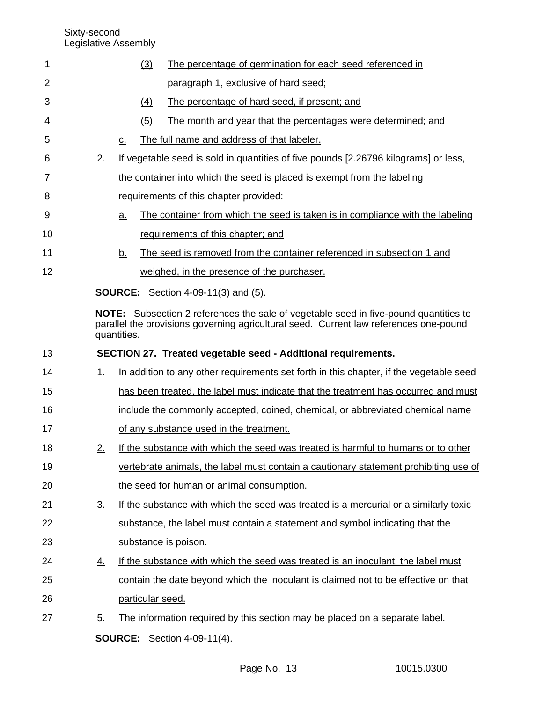| 1  |                   |             | (3)                                                                           | The percentage of germination for each seed referenced in                                                                                                                            |  |  |  |
|----|-------------------|-------------|-------------------------------------------------------------------------------|--------------------------------------------------------------------------------------------------------------------------------------------------------------------------------------|--|--|--|
| 2  |                   |             |                                                                               | paragraph 1, exclusive of hard seed;                                                                                                                                                 |  |  |  |
| 3  |                   |             | $\left( 4\right)$                                                             | The percentage of hard seed, if present; and                                                                                                                                         |  |  |  |
| 4  |                   |             | (5)                                                                           | The month and year that the percentages were determined; and                                                                                                                         |  |  |  |
| 5  |                   | c.          |                                                                               | The full name and address of that labeler.                                                                                                                                           |  |  |  |
| 6  | 2.                |             |                                                                               | If vegetable seed is sold in quantities of five pounds [2.26796 kilograms] or less,                                                                                                  |  |  |  |
| 7  |                   |             |                                                                               | the container into which the seed is placed is exempt from the labeling                                                                                                              |  |  |  |
| 8  |                   |             |                                                                               | requirements of this chapter provided:                                                                                                                                               |  |  |  |
| 9  |                   | a.          |                                                                               | The container from which the seed is taken is in compliance with the labeling                                                                                                        |  |  |  |
| 10 |                   |             |                                                                               | requirements of this chapter; and                                                                                                                                                    |  |  |  |
| 11 |                   | b.          |                                                                               | The seed is removed from the container referenced in subsection 1 and                                                                                                                |  |  |  |
| 12 |                   |             |                                                                               | weighed, in the presence of the purchaser.                                                                                                                                           |  |  |  |
|    |                   |             |                                                                               | <b>SOURCE:</b> Section 4-09-11(3) and (5).                                                                                                                                           |  |  |  |
|    |                   | quantities. |                                                                               | <b>NOTE:</b> Subsection 2 references the sale of vegetable seed in five-pound quantities to<br>parallel the provisions governing agricultural seed. Current law references one-pound |  |  |  |
| 13 |                   |             |                                                                               | SECTION 27. Treated vegetable seed - Additional requirements.                                                                                                                        |  |  |  |
| 14 | 1.                |             |                                                                               | In addition to any other requirements set forth in this chapter, if the vegetable seed                                                                                               |  |  |  |
| 15 |                   |             |                                                                               | has been treated, the label must indicate that the treatment has occurred and must                                                                                                   |  |  |  |
| 16 |                   |             | include the commonly accepted, coined, chemical, or abbreviated chemical name |                                                                                                                                                                                      |  |  |  |
| 17 |                   |             | of any substance used in the treatment.                                       |                                                                                                                                                                                      |  |  |  |
| 18 | 2.                |             |                                                                               | If the substance with which the seed was treated is harmful to humans or to other                                                                                                    |  |  |  |
| 19 |                   |             |                                                                               | vertebrate animals, the label must contain a cautionary statement prohibiting use of                                                                                                 |  |  |  |
| 20 |                   |             |                                                                               | the seed for human or animal consumption.                                                                                                                                            |  |  |  |
| 21 | $\underline{3}$ . |             |                                                                               | If the substance with which the seed was treated is a mercurial or a similarly toxic                                                                                                 |  |  |  |
| 22 |                   |             |                                                                               | substance, the label must contain a statement and symbol indicating that the                                                                                                         |  |  |  |
| 23 |                   |             |                                                                               | substance is poison.                                                                                                                                                                 |  |  |  |
| 24 | <u>4.</u>         |             |                                                                               | If the substance with which the seed was treated is an inoculant, the label must                                                                                                     |  |  |  |
| 25 |                   |             |                                                                               | contain the date beyond which the inoculant is claimed not to be effective on that                                                                                                   |  |  |  |
| 26 |                   |             | particular seed.                                                              |                                                                                                                                                                                      |  |  |  |
| 27 | 5.                |             |                                                                               | The information required by this section may be placed on a separate label.                                                                                                          |  |  |  |
|    |                   |             |                                                                               | <b>SOURCE:</b> Section 4-09-11(4).                                                                                                                                                   |  |  |  |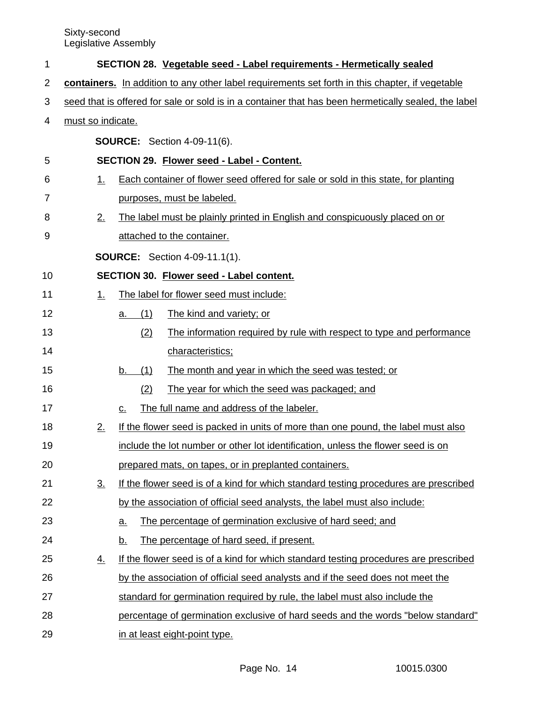| 1  |                                                                                                      | SECTION 28. Vegetable seed - Label requirements - Hermetically sealed                |  |  |  |
|----|------------------------------------------------------------------------------------------------------|--------------------------------------------------------------------------------------|--|--|--|
| 2  | containers. In addition to any other label requirements set forth in this chapter, if vegetable      |                                                                                      |  |  |  |
| 3  | seed that is offered for sale or sold is in a container that has been hermetically sealed, the label |                                                                                      |  |  |  |
| 4  | must so indicate.                                                                                    |                                                                                      |  |  |  |
|    |                                                                                                      | <b>SOURCE:</b> Section 4-09-11(6).                                                   |  |  |  |
| 5  |                                                                                                      | SECTION 29. Flower seed - Label - Content.                                           |  |  |  |
| 6  | 1.                                                                                                   | Each container of flower seed offered for sale or sold in this state, for planting   |  |  |  |
| 7  |                                                                                                      | purposes, must be labeled.                                                           |  |  |  |
| 8  | 2.                                                                                                   | The label must be plainly printed in English and conspicuously placed on or          |  |  |  |
| 9  |                                                                                                      | attached to the container.                                                           |  |  |  |
|    |                                                                                                      | <b>SOURCE:</b> Section 4-09-11.1(1).                                                 |  |  |  |
| 10 |                                                                                                      | SECTION 30. Flower seed - Label content.                                             |  |  |  |
| 11 | 1.                                                                                                   | The label for flower seed must include:                                              |  |  |  |
| 12 |                                                                                                      | (1)<br>The kind and variety; or<br>а.                                                |  |  |  |
| 13 |                                                                                                      | The information required by rule with respect to type and performance<br>(2)         |  |  |  |
| 14 |                                                                                                      | characteristics;                                                                     |  |  |  |
| 15 |                                                                                                      | (1)<br>The month and year in which the seed was tested; or<br><u>b.</u>              |  |  |  |
| 16 |                                                                                                      | (2)<br>The year for which the seed was packaged; and                                 |  |  |  |
| 17 |                                                                                                      | The full name and address of the labeler.<br>c.                                      |  |  |  |
| 18 | 2.                                                                                                   | If the flower seed is packed in units of more than one pound, the label must also    |  |  |  |
| 19 |                                                                                                      | include the lot number or other lot identification, unless the flower seed is on     |  |  |  |
| 20 |                                                                                                      | prepared mats, on tapes, or in preplanted containers.                                |  |  |  |
| 21 | 3 <sub>1</sub>                                                                                       | If the flower seed is of a kind for which standard testing procedures are prescribed |  |  |  |
| 22 |                                                                                                      | by the association of official seed analysts, the label must also include:           |  |  |  |
| 23 |                                                                                                      | The percentage of germination exclusive of hard seed; and<br><u>a.</u>               |  |  |  |
| 24 |                                                                                                      | The percentage of hard seed, if present.<br><u>b.</u>                                |  |  |  |
| 25 | $\overline{4}$ .                                                                                     | If the flower seed is of a kind for which standard testing procedures are prescribed |  |  |  |
| 26 |                                                                                                      | by the association of official seed analysts and if the seed does not meet the       |  |  |  |
| 27 |                                                                                                      | standard for germination required by rule, the label must also include the           |  |  |  |
| 28 | percentage of germination exclusive of hard seeds and the words "below standard"                     |                                                                                      |  |  |  |
| 29 | in at least eight-point type.                                                                        |                                                                                      |  |  |  |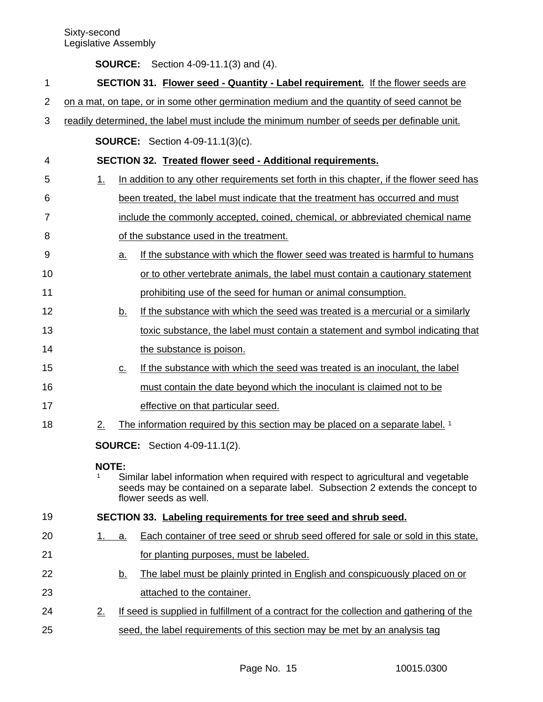| <b>SOURCE:</b> Section 4-09-11.1(3) and (4). |
|----------------------------------------------|
|                                              |

| 1  |                                                                                            |                   | SECTION 31. Flower seed - Quantity - Label requirement. If the flower seeds are                                                                                                                |  |
|----|--------------------------------------------------------------------------------------------|-------------------|------------------------------------------------------------------------------------------------------------------------------------------------------------------------------------------------|--|
| 2  | on a mat, on tape, or in some other germination medium and the quantity of seed cannot be  |                   |                                                                                                                                                                                                |  |
| 3  | readily determined, the label must include the minimum number of seeds per definable unit. |                   |                                                                                                                                                                                                |  |
|    |                                                                                            |                   | <b>SOURCE:</b> Section 4-09-11.1(3)(c).                                                                                                                                                        |  |
| 4  |                                                                                            |                   | SECTION 32. Treated flower seed - Additional requirements.                                                                                                                                     |  |
| 5  | 1.                                                                                         |                   | In addition to any other requirements set forth in this chapter, if the flower seed has                                                                                                        |  |
| 6  |                                                                                            |                   | been treated, the label must indicate that the treatment has occurred and must                                                                                                                 |  |
| 7  |                                                                                            |                   | include the commonly accepted, coined, chemical, or abbreviated chemical name                                                                                                                  |  |
| 8  |                                                                                            |                   | of the substance used in the treatment.                                                                                                                                                        |  |
| 9  |                                                                                            | $\underline{a}$ . | If the substance with which the flower seed was treated is harmful to humans                                                                                                                   |  |
| 10 |                                                                                            |                   | or to other vertebrate animals, the label must contain a cautionary statement                                                                                                                  |  |
| 11 |                                                                                            |                   | prohibiting use of the seed for human or animal consumption.                                                                                                                                   |  |
| 12 |                                                                                            | <u>b.</u>         | If the substance with which the seed was treated is a mercurial or a similarly                                                                                                                 |  |
| 13 |                                                                                            |                   | toxic substance, the label must contain a statement and symbol indicating that                                                                                                                 |  |
| 14 |                                                                                            |                   | the substance is poison.                                                                                                                                                                       |  |
| 15 |                                                                                            | $\underline{C}$ . | If the substance with which the seed was treated is an inoculant, the label                                                                                                                    |  |
| 16 |                                                                                            |                   | must contain the date beyond which the inoculant is claimed not to be                                                                                                                          |  |
| 17 |                                                                                            |                   | effective on that particular seed.                                                                                                                                                             |  |
| 18 | 2.                                                                                         |                   | The information required by this section may be placed on a separate label. 1                                                                                                                  |  |
|    |                                                                                            |                   | <b>SOURCE:</b> Section 4-09-11.1(2).                                                                                                                                                           |  |
|    | <b>NOTE:</b>                                                                               |                   | Similar label information when required with respect to agricultural and vegetable<br>seeds may be contained on a separate label. Subsection 2 extends the concept to<br>flower seeds as well. |  |
| 19 |                                                                                            |                   | SECTION 33. Labeling requirements for tree seed and shrub seed.                                                                                                                                |  |
| 20 | 1.                                                                                         | a.                | Each container of tree seed or shrub seed offered for sale or sold in this state,                                                                                                              |  |
| 21 |                                                                                            |                   | for planting purposes, must be labeled.                                                                                                                                                        |  |
| 22 |                                                                                            | <u>b.</u>         | The label must be plainly printed in English and conspicuously placed on or                                                                                                                    |  |
| 23 |                                                                                            |                   | attached to the container.                                                                                                                                                                     |  |
| 24 | 2.                                                                                         |                   | If seed is supplied in fulfillment of a contract for the collection and gathering of the                                                                                                       |  |
| 25 |                                                                                            |                   | seed, the label requirements of this section may be met by an analysis tag                                                                                                                     |  |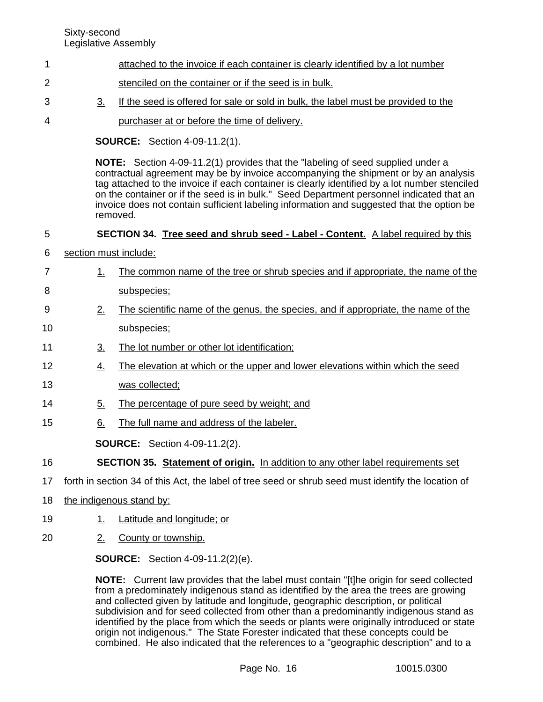4

- attached to the invoice if each container is clearly identified by a lot number 1
- stenciled on the container or if the seed is in bulk. 2
- 3. If the seed is offered for sale or sold in bulk, the label must be provided to the 3
	- purchaser at or before the time of delivery.

**SOURCE:** Section 4-09-11.2(1).

**NOTE:** Section 4-09-11.2(1) provides that the "labeling of seed supplied under a contractual agreement may be by invoice accompanying the shipment or by an analysis tag attached to the invoice if each container is clearly identified by a lot number stenciled on the container or if the seed is in bulk." Seed Department personnel indicated that an invoice does not contain sufficient labeling information and suggested that the option be removed.

# **SECTION 34. Tree seed and shrub seed - Label - Content.** A label required by this 5

- section must include: 6
- 1. The common name of the tree or shrub species and if appropriate, the name of the subspecies; 7 8
- 2. The scientific name of the genus, the species, and if appropriate, the name of the 9
- subspecies; 10
- 3. The lot number or other lot identification; 11
- 4. The elevation at which or the upper and lower elevations within which the seed 12
- was collected; 13
- 5. The percentage of pure seed by weight; and 14
- 6. The full name and address of the labeler. 15

**SOURCE:** Section 4-09-11.2(2).

- **SECTION 35. Statement of origin.** In addition to any other label requirements set 16
- forth in section 34 of this Act, the label of tree seed or shrub seed must identify the location of 17
- the indigenous stand by: 18
- 1. Latitude and longitude; or 19
- 2. County or township. 20

**SOURCE:** Section 4-09-11.2(2)(e).

**NOTE:** Current law provides that the label must contain "[t]he origin for seed collected from a predominately indigenous stand as identified by the area the trees are growing and collected given by latitude and longitude, geographic description, or political subdivision and for seed collected from other than a predominantly indigenous stand as identified by the place from which the seeds or plants were originally introduced or state origin not indigenous." The State Forester indicated that these concepts could be combined. He also indicated that the references to a "geographic description" and to a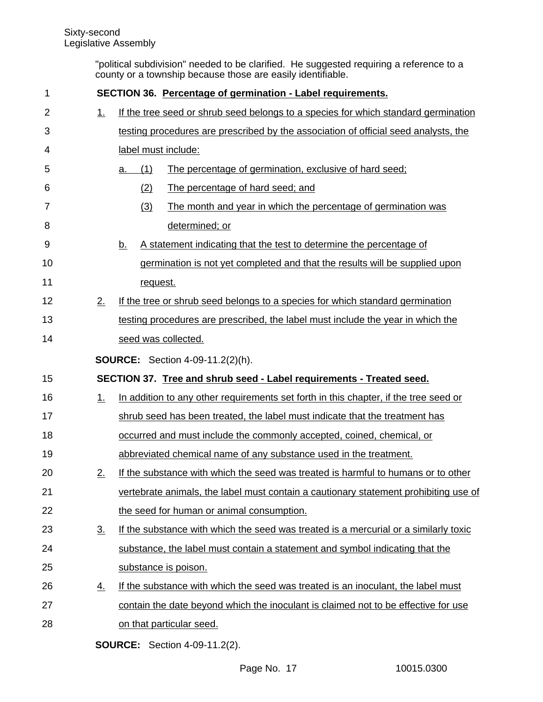"political subdivision" needed to be clarified. He suggested requiring a reference to a county or a township because those are easily identifiable.

| 1              |                   | SECTION 36. Percentage of germination - Label requirements.                          |  |  |
|----------------|-------------------|--------------------------------------------------------------------------------------|--|--|
| $\overline{2}$ | 1.                | If the tree seed or shrub seed belongs to a species for which standard germination   |  |  |
| 3              |                   | testing procedures are prescribed by the association of official seed analysts, the  |  |  |
| 4              |                   | label must include:                                                                  |  |  |
| 5              |                   | (1)<br>The percentage of germination, exclusive of hard seed;<br>a.                  |  |  |
| 6              |                   | (2)<br>The percentage of hard seed; and                                              |  |  |
| 7              |                   | (3)<br>The month and year in which the percentage of germination was                 |  |  |
| 8              |                   | determined; or                                                                       |  |  |
| 9              |                   | A statement indicating that the test to determine the percentage of<br><u>b.</u>     |  |  |
| 10             |                   | germination is not yet completed and that the results will be supplied upon          |  |  |
| 11             |                   | request.                                                                             |  |  |
| 12             | 2.                | If the tree or shrub seed belongs to a species for which standard germination        |  |  |
| 13             |                   | testing procedures are prescribed, the label must include the year in which the      |  |  |
| 14             |                   | seed was collected.                                                                  |  |  |
|                |                   | <b>SOURCE:</b> Section 4-09-11.2(2)(h).                                              |  |  |
| 15             |                   | SECTION 37. Tree and shrub seed - Label requirements - Treated seed.                 |  |  |
| 16             | 1.                | In addition to any other requirements set forth in this chapter, if the tree seed or |  |  |
| 17             |                   | shrub seed has been treated, the label must indicate that the treatment has          |  |  |
| 18             |                   | occurred and must include the commonly accepted, coined, chemical, or                |  |  |
| 19             |                   | abbreviated chemical name of any substance used in the treatment.                    |  |  |
| 20             | 2.                | If the substance with which the seed was treated is harmful to humans or to other    |  |  |
| 21             |                   | vertebrate animals, the label must contain a cautionary statement prohibiting use of |  |  |
| 22             |                   | the seed for human or animal consumption.                                            |  |  |
| 23             | $\underline{3}$ . | If the substance with which the seed was treated is a mercurial or a similarly toxic |  |  |
| 24             |                   | substance, the label must contain a statement and symbol indicating that the         |  |  |
| 25             |                   | substance is poison.                                                                 |  |  |
| 26             | <u>4.</u>         | If the substance with which the seed was treated is an inoculant, the label must     |  |  |
| 27             |                   | contain the date beyond which the inoculant is claimed not to be effective for use   |  |  |
| 28             |                   | on that particular seed.                                                             |  |  |
|                |                   |                                                                                      |  |  |

**SOURCE:** Section 4-09-11.2(2).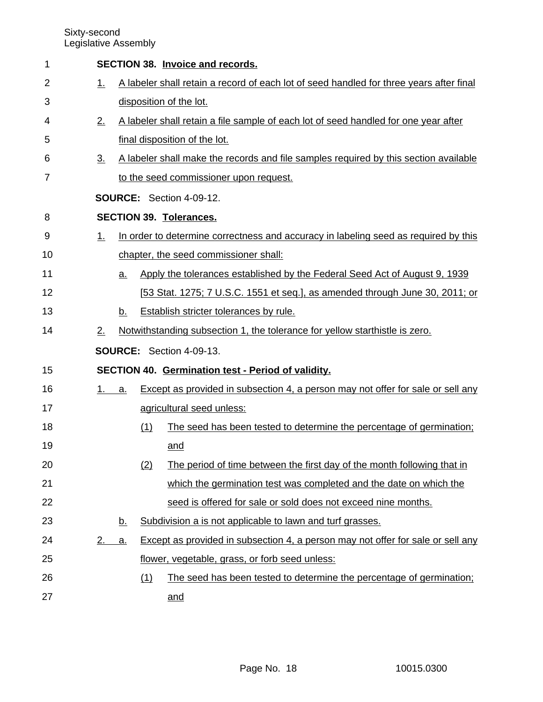| 1  |         |           |     | <b>SECTION 38. Invoice and records.</b>                                                 |
|----|---------|-----------|-----|-----------------------------------------------------------------------------------------|
| 2  | 1.      |           |     | A labeler shall retain a record of each lot of seed handled for three years after final |
| 3  |         |           |     | disposition of the lot.                                                                 |
| 4  | 2.      |           |     | A labeler shall retain a file sample of each lot of seed handled for one year after     |
| 5  |         |           |     | final disposition of the lot.                                                           |
| 6  | 3.      |           |     | A labeler shall make the records and file samples required by this section available    |
| 7  |         |           |     | to the seed commissioner upon request.                                                  |
|    |         |           |     | SOURCE: Section 4-09-12.                                                                |
| 8  |         |           |     | <b>SECTION 39. Tolerances.</b>                                                          |
| 9  | $1_{-}$ |           |     | In order to determine correctness and accuracy in labeling seed as required by this     |
| 10 |         |           |     | chapter, the seed commissioner shall:                                                   |
| 11 |         | <u>a.</u> |     | Apply the tolerances established by the Federal Seed Act of August 9, 1939              |
| 12 |         |           |     | [53 Stat. 1275; 7 U.S.C. 1551 et seq.], as amended through June 30, 2011; or            |
| 13 |         | b.        |     | Establish stricter tolerances by rule.                                                  |
| 14 | 2.      |           |     | Notwithstanding subsection 1, the tolerance for yellow starthistle is zero.             |
|    |         |           |     | <b>SOURCE:</b> Section 4-09-13.                                                         |
| 15 |         |           |     | SECTION 40. Germination test - Period of validity.                                      |
| 16 | 1.      | a.        |     | Except as provided in subsection 4, a person may not offer for sale or sell any         |
| 17 |         |           |     | agricultural seed unless:                                                               |
| 18 |         |           | (1) | The seed has been tested to determine the percentage of germination;                    |
| 19 |         |           |     | and                                                                                     |
| 20 |         |           | (2) | The period of time between the first day of the month following that in                 |
| 21 |         |           |     | which the germination test was completed and the date on which the                      |
| 22 |         |           |     | seed is offered for sale or sold does not exceed nine months.                           |
| 23 |         | <u>b.</u> |     | Subdivision a is not applicable to lawn and turf grasses.                               |
| 24 | 2.      | <u>a.</u> |     | Except as provided in subsection 4, a person may not offer for sale or sell any         |
| 25 |         |           |     | flower, vegetable, grass, or forb seed unless:                                          |
| 26 |         |           | (1) | The seed has been tested to determine the percentage of germination;                    |
| 27 |         |           |     | and                                                                                     |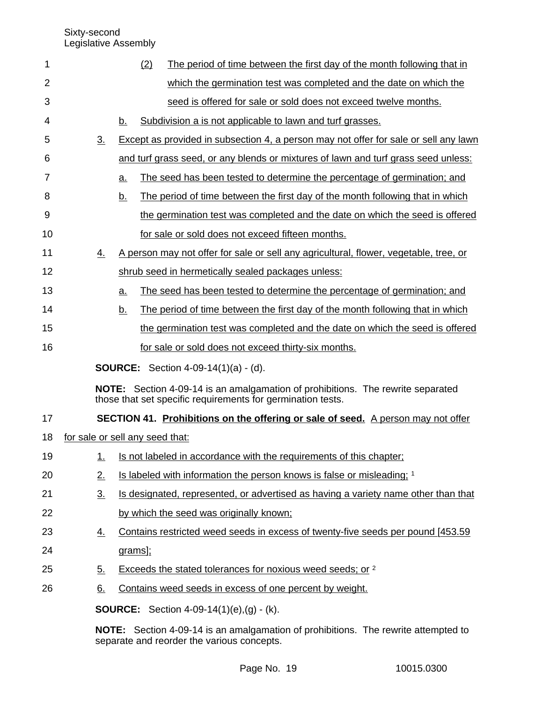| 1  |                                 |                   |           | (2) | The period of time between the first day of the month following that in                                                                        |
|----|---------------------------------|-------------------|-----------|-----|------------------------------------------------------------------------------------------------------------------------------------------------|
| 2  |                                 |                   |           |     | which the germination test was completed and the date on which the                                                                             |
| 3  |                                 |                   |           |     | seed is offered for sale or sold does not exceed twelve months.                                                                                |
| 4  |                                 |                   | b.        |     | Subdivision a is not applicable to lawn and turf grasses.                                                                                      |
| 5  |                                 | 3 <sub>1</sub>    |           |     | Except as provided in subsection 4, a person may not offer for sale or sell any lawn                                                           |
| 6  |                                 |                   |           |     | and turf grass seed, or any blends or mixtures of lawn and turf grass seed unless:                                                             |
| 7  |                                 |                   | a.        |     | The seed has been tested to determine the percentage of germination; and                                                                       |
| 8  |                                 |                   | <u>b.</u> |     | The period of time between the first day of the month following that in which                                                                  |
| 9  |                                 |                   |           |     | the germination test was completed and the date on which the seed is offered                                                                   |
| 10 |                                 |                   |           |     | for sale or sold does not exceed fifteen months.                                                                                               |
| 11 |                                 | $\overline{4}$ .  |           |     | A person may not offer for sale or sell any agricultural, flower, vegetable, tree, or                                                          |
| 12 |                                 |                   |           |     | shrub seed in hermetically sealed packages unless:                                                                                             |
| 13 |                                 |                   | a.        |     | The seed has been tested to determine the percentage of germination; and                                                                       |
| 14 |                                 |                   | b.        |     | The period of time between the first day of the month following that in which                                                                  |
| 15 |                                 |                   |           |     | the germination test was completed and the date on which the seed is offered                                                                   |
| 16 |                                 |                   |           |     | for sale or sold does not exceed thirty-six months.                                                                                            |
|    |                                 |                   |           |     | <b>SOURCE:</b> Section 4-09-14(1)(a) - (d).                                                                                                    |
|    |                                 |                   |           |     | NOTE: Section 4-09-14 is an amalgamation of prohibitions. The rewrite separated<br>those that set specific requirements for germination tests. |
| 17 |                                 |                   |           |     | <b>SECTION 41. Prohibitions on the offering or sale of seed.</b> A person may not offer                                                        |
| 18 | for sale or sell any seed that: |                   |           |     |                                                                                                                                                |
| 19 |                                 | $\overline{1}$ .  |           |     | Is not labeled in accordance with the requirements of this chapter;                                                                            |
| 20 |                                 | 2.                |           |     | Is labeled with information the person knows is false or misleading; 1                                                                         |
| 21 |                                 | $\underline{3}$ . |           |     | Is designated, represented, or advertised as having a variety name other than that                                                             |
| 22 |                                 |                   |           |     | by which the seed was originally known;                                                                                                        |
| 23 |                                 | <u>4.</u>         |           |     | Contains restricted weed seeds in excess of twenty-five seeds per pound [453.59]                                                               |
| 24 |                                 |                   | grams];   |     |                                                                                                                                                |
| 25 |                                 | $\underline{5}$ . |           |     | Exceeds the stated tolerances for noxious weed seeds; or 2                                                                                     |
| 26 |                                 | $\underline{6}$ . |           |     | Contains weed seeds in excess of one percent by weight.                                                                                        |
|    |                                 |                   |           |     | <b>SOURCE:</b> Section 4-09-14(1)(e),(g) - (k).                                                                                                |
|    |                                 |                   |           |     | NOTE: Section 4-09-14 is an amalgamation of prohibitions. The rewrite attempted to                                                             |

separate and reorder the various concepts.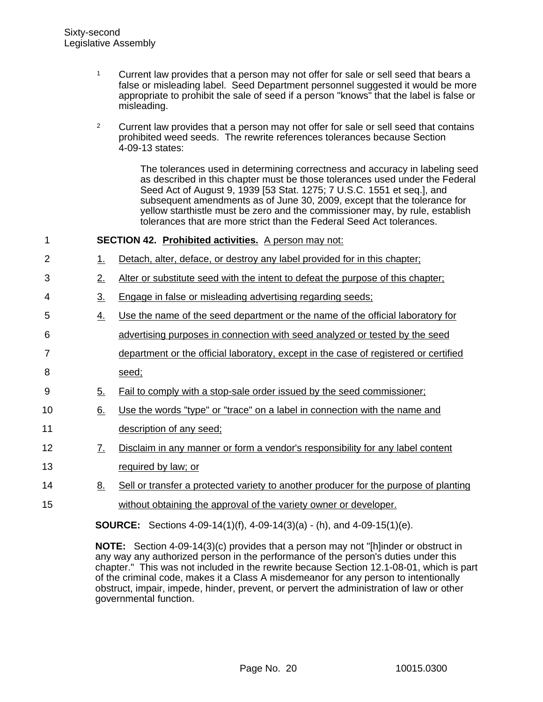- <sup>1</sup> Current law provides that a person may not offer for sale or sell seed that bears a false or misleading label. Seed Department personnel suggested it would be more appropriate to prohibit the sale of seed if a person "knows" that the label is false or misleading.
- <sup>2</sup> Current law provides that a person may not offer for sale or sell seed that contains prohibited weed seeds. The rewrite references tolerances because Section 4-09-13 states:

The tolerances used in determining correctness and accuracy in labeling seed as described in this chapter must be those tolerances used under the Federal Seed Act of August 9, 1939 [53 Stat. 1275; 7 U.S.C. 1551 et seq.], and subsequent amendments as of June 30, 2009, except that the tolerance for yellow starthistle must be zero and the commissioner may, by rule, establish tolerances that are more strict than the Federal Seed Act tolerances.

| 1              |                   | <b>SECTION 42. Prohibited activities.</b> A person may not:                          |
|----------------|-------------------|--------------------------------------------------------------------------------------|
| $\overline{2}$ | 1.                | Detach, alter, deface, or destroy any label provided for in this chapter;            |
| 3              | 2.                | Alter or substitute seed with the intent to defeat the purpose of this chapter;      |
| 4              | $\underline{3}$ . | Engage in false or misleading advertising regarding seeds;                           |
| 5              | $\overline{4}$ .  | Use the name of the seed department or the name of the official laboratory for       |
| 6              |                   | advertising purposes in connection with seed analyzed or tested by the seed          |
| $\overline{7}$ |                   | department or the official laboratory, except in the case of registered or certified |
| 8              |                   | seed;                                                                                |
| 9              | $\underline{5}$ . | Fail to comply with a stop-sale order issued by the seed commissioner;               |
| 10             | 6.                | Use the words "type" or "trace" on a label in connection with the name and           |
| 11             |                   | description of any seed;                                                             |
| 12             | <u>7.</u>         | Disclaim in any manner or form a vendor's responsibility for any label content       |
| 13             |                   | required by law; or                                                                  |
| 14             | <u>8.</u>         | Sell or transfer a protected variety to another producer for the purpose of planting |
| 15             |                   | without obtaining the approval of the variety owner or developer.                    |
|                |                   | <b>SOURCE:</b> Sections 4-09-14(1)(f), 4-09-14(3)(a) - (h), and 4-09-15(1)(e).       |
|                |                   |                                                                                      |

**NOTE:** Section 4-09-14(3)(c) provides that a person may not "[h]inder or obstruct in any way any authorized person in the performance of the person's duties under this chapter." This was not included in the rewrite because Section 12.1-08-01, which is part of the criminal code, makes it a Class A misdemeanor for any person to intentionally obstruct, impair, impede, hinder, prevent, or pervert the administration of law or other governmental function.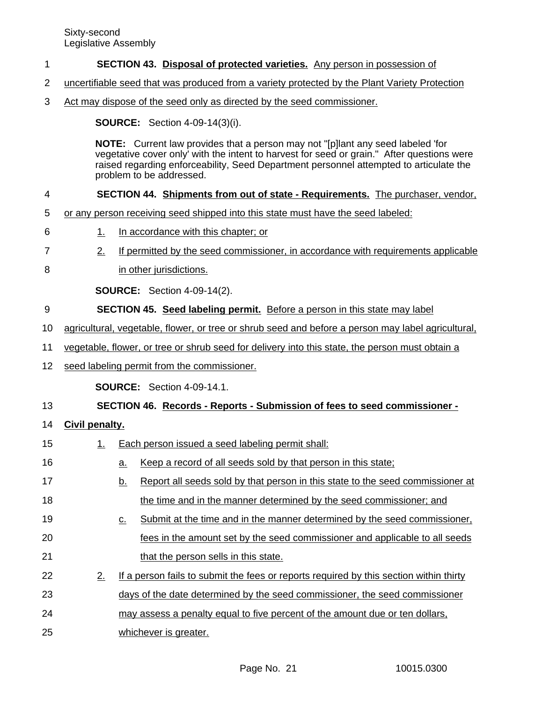## **SECTION 43. Disposal of protected varieties.** Any person in possession of 1

- uncertifiable seed that was produced from a variety protected by the Plant Variety Protection 2
- Act may dispose of the seed only as directed by the seed commissioner. 3

**SOURCE:** Section 4-09-14(3)(i).

**NOTE:** Current law provides that a person may not "[p]lant any seed labeled 'for vegetative cover only' with the intent to harvest for seed or grain." After questions were raised regarding enforceability, Seed Department personnel attempted to articulate the problem to be addressed.

### **SECTION 44. Shipments from out of state - Requirements.** The purchaser, vendor, 4

- or any person receiving seed shipped into this state must have the seed labeled: 5
- 1. In accordance with this chapter; or 6
- 2. If permitted by the seed commissioner, in accordance with requirements applicable 7
- in other jurisdictions. 8

**SOURCE:** Section 4-09-14(2).

- **SECTION 45. Seed labeling permit.** Before a person in this state may label 9
- agricultural, vegetable, flower, or tree or shrub seed and before a person may label agricultural, 10
- vegetable, flower, or tree or shrub seed for delivery into this state, the person must obtain a 11
- seed labeling permit from the commissioner. 12

**SOURCE:** Section 4-09-14.1.

## **SECTION 46. Records - Reports - Submission of fees to seed commissioner -** 13

## **Civil penalty.** 14

1. Each person issued a seed labeling permit shall: a. Keep a record of all seeds sold by that person in this state; b. Report all seeds sold by that person in this state to the seed commissioner at the time and in the manner determined by the seed commissioner; and c. Submit at the time and in the manner determined by the seed commissioner, fees in the amount set by the seed commissioner and applicable to all seeds that the person sells in this state. 2. If a person fails to submit the fees or reports required by this section within thirty days of the date determined by the seed commissioner, the seed commissioner may assess a penalty equal to five percent of the amount due or ten dollars, whichever is greater. 15 16 17 18 19 20 21 22 23 24 25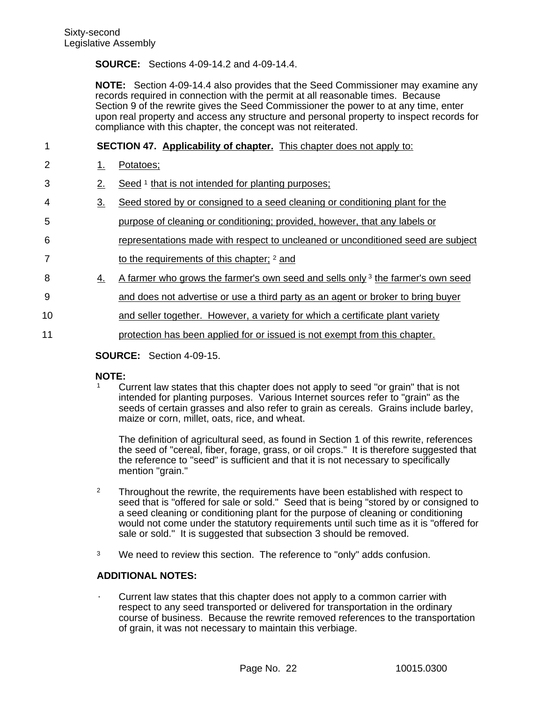# **SOURCE:** Sections 4-09-14.2 and 4-09-14.4.

**NOTE:** Section 4-09-14.4 also provides that the Seed Commissioner may examine any records required in connection with the permit at all reasonable times. Because Section 9 of the rewrite gives the Seed Commissioner the power to at any time, enter upon real property and access any structure and personal property to inspect records for compliance with this chapter, the concept was not reiterated.

**SECTION 47. Applicability of chapter.** This chapter does not apply to: 1

- 1. Potatoes; 2
- 2. Seed <sup>1</sup> that is not intended for planting purposes; 3
- 3. Seed stored by or consigned to a seed cleaning or conditioning plant for the 4
- purpose of cleaning or conditioning; provided, however, that any labels or 5
- representations made with respect to uncleaned or unconditioned seed are subject 6
- to the requirements of this chapter; <sup>2</sup> and 7
- 4. A farmer who grows the farmer's own seed and sells only  $3$  the farmer's own seed 8
- and does not advertise or use a third party as an agent or broker to bring buyer 9
- and seller together. However, a variety for which a certificate plant variety 10
- protection has been applied for or issued is not exempt from this chapter. 11
	- **SOURCE:** Section 4-09-15.

# **NOTE:**

<sup>1</sup> Current law states that this chapter does not apply to seed "or grain" that is not intended for planting purposes. Various Internet sources refer to "grain" as the seeds of certain grasses and also refer to grain as cereals. Grains include barley, maize or corn, millet, oats, rice, and wheat.

The definition of agricultural seed, as found in Section 1 of this rewrite, references the seed of "cereal, fiber, forage, grass, or oil crops." It is therefore suggested that the reference to "seed" is sufficient and that it is not necessary to specifically mention "grain."

- <sup>2</sup> Throughout the rewrite, the requirements have been established with respect to seed that is "offered for sale or sold." Seed that is being "stored by or consigned to a seed cleaning or conditioning plant for the purpose of cleaning or conditioning would not come under the statutory requirements until such time as it is "offered for sale or sold." It is suggested that subsection 3 should be removed.
- <sup>3</sup> We need to review this section. The reference to "only" adds confusion.

# **ADDITIONAL NOTES:**

· Current law states that this chapter does not apply to a common carrier with respect to any seed transported or delivered for transportation in the ordinary course of business. Because the rewrite removed references to the transportation of grain, it was not necessary to maintain this verbiage.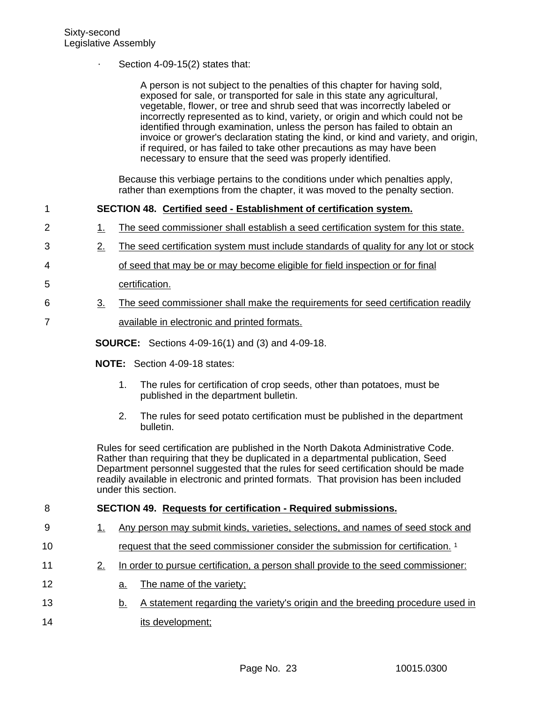Section  $4-09-15(2)$  states that:

A person is not subject to the penalties of this chapter for having sold, exposed for sale, or transported for sale in this state any agricultural, vegetable, flower, or tree and shrub seed that was incorrectly labeled or incorrectly represented as to kind, variety, or origin and which could not be identified through examination, unless the person has failed to obtain an invoice or grower's declaration stating the kind, or kind and variety, and origin, if required, or has failed to take other precautions as may have been necessary to ensure that the seed was properly identified.

Because this verbiage pertains to the conditions under which penalties apply, rather than exemptions from the chapter, it was moved to the penalty section.

#### **SECTION 48. Certified seed - Establishment of certification system.** 1

- 1. The seed commissioner shall establish a seed certification system for this state. 2
- 2. The seed certification system must include standards of quality for any lot or stock 3
- of seed that may be or may become eligible for field inspection or for final 4
- certification. 5
- 3. The seed commissioner shall make the requirements for seed certification readily 6 7
	- available in electronic and printed formats.

**SOURCE:** Sections 4-09-16(1) and (3) and 4-09-18.

- **NOTE:** Section 4-09-18 states:
	- 1. The rules for certification of crop seeds, other than potatoes, must be published in the department bulletin.
	- 2. The rules for seed potato certification must be published in the department bulletin.

Rules for seed certification are published in the North Dakota Administrative Code. Rather than requiring that they be duplicated in a departmental publication, Seed Department personnel suggested that the rules for seed certification should be made readily available in electronic and printed formats. That provision has been included under this section.

#### **SECTION 49. Requests for certification - Required submissions.** 8

- 1. Any person may submit kinds, varieties, selections, and names of seed stock and 9
- request that the seed commissioner consider the submission for certification.<sup>1</sup> 10
- 2. In order to pursue certification, a person shall provide to the seed commissioner: 11
- a. The name of the variety; 12
- b. A statement regarding the variety's origin and the breeding procedure used in its development; 13 14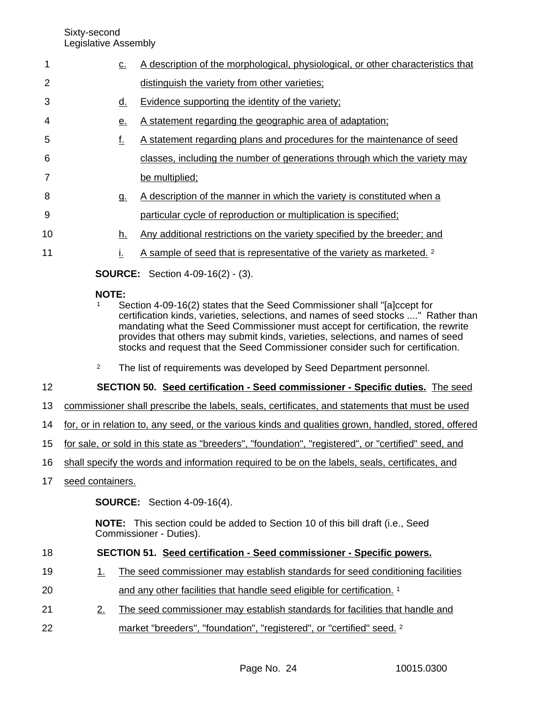Sixty-second

|                 | Legislative Assembly                                                                                |                                                                                                                                                                                                                                                                                                                                                                                                                        |  |
|-----------------|-----------------------------------------------------------------------------------------------------|------------------------------------------------------------------------------------------------------------------------------------------------------------------------------------------------------------------------------------------------------------------------------------------------------------------------------------------------------------------------------------------------------------------------|--|
| 1               | <u>c.</u>                                                                                           | A description of the morphological, physiological, or other characteristics that                                                                                                                                                                                                                                                                                                                                       |  |
| 2               |                                                                                                     | distinguish the variety from other varieties;                                                                                                                                                                                                                                                                                                                                                                          |  |
| 3               | <u>d.</u>                                                                                           | Evidence supporting the identity of the variety;                                                                                                                                                                                                                                                                                                                                                                       |  |
| 4               | <u>e.</u>                                                                                           | A statement regarding the geographic area of adaptation;                                                                                                                                                                                                                                                                                                                                                               |  |
| 5               | <u>f.</u>                                                                                           | A statement regarding plans and procedures for the maintenance of seed                                                                                                                                                                                                                                                                                                                                                 |  |
| 6               |                                                                                                     | classes, including the number of generations through which the variety may                                                                                                                                                                                                                                                                                                                                             |  |
| 7               |                                                                                                     | be multiplied;                                                                                                                                                                                                                                                                                                                                                                                                         |  |
| 8               | <u>g.</u>                                                                                           | A description of the manner in which the variety is constituted when a                                                                                                                                                                                                                                                                                                                                                 |  |
| 9               |                                                                                                     | particular cycle of reproduction or multiplication is specified;                                                                                                                                                                                                                                                                                                                                                       |  |
| 10              | h.                                                                                                  | Any additional restrictions on the variety specified by the breeder; and                                                                                                                                                                                                                                                                                                                                               |  |
| 11              | i.                                                                                                  | A sample of seed that is representative of the variety as marketed. <sup>2</sup>                                                                                                                                                                                                                                                                                                                                       |  |
|                 |                                                                                                     | <b>SOURCE:</b> Section 4-09-16(2) - (3).                                                                                                                                                                                                                                                                                                                                                                               |  |
|                 | <b>NOTE:</b>                                                                                        | Section 4-09-16(2) states that the Seed Commissioner shall "[a]ccept for<br>certification kinds, varieties, selections, and names of seed stocks " Rather than<br>mandating what the Seed Commissioner must accept for certification, the rewrite<br>provides that others may submit kinds, varieties, selections, and names of seed<br>stocks and request that the Seed Commissioner consider such for certification. |  |
|                 | $\overline{2}$                                                                                      | The list of requirements was developed by Seed Department personnel.                                                                                                                                                                                                                                                                                                                                                   |  |
| 12 <sub>2</sub> |                                                                                                     | SECTION 50. Seed certification - Seed commissioner - Specific duties. The seed                                                                                                                                                                                                                                                                                                                                         |  |
| 13              |                                                                                                     | commissioner shall prescribe the labels, seals, certificates, and statements that must be used                                                                                                                                                                                                                                                                                                                         |  |
| 14              |                                                                                                     | for, or in relation to, any seed, or the various kinds and qualities grown, handled, stored, offered                                                                                                                                                                                                                                                                                                                   |  |
| 15              | for sale, or sold in this state as "breeders", "foundation", "registered", or "certified" seed, and |                                                                                                                                                                                                                                                                                                                                                                                                                        |  |

- shall specify the words and information required to be on the labels, seals, certificates, and 16
- seed containers. 17

**SOURCE:** Section 4-09-16(4).

**NOTE:** This section could be added to Section 10 of this bill draft (i.e., Seed Commissioner - Duties).

## **SECTION 51. Seed certification - Seed commissioner - Specific powers.** 18

- 1. The seed commissioner may establish standards for seed conditioning facilities 19
- and any other facilities that handle seed eligible for certification. <sup>1</sup> 20
- 2. The seed commissioner may establish standards for facilities that handle and 21
- market "breeders", "foundation", "registered", or "certified" seed. <sup>2</sup> 22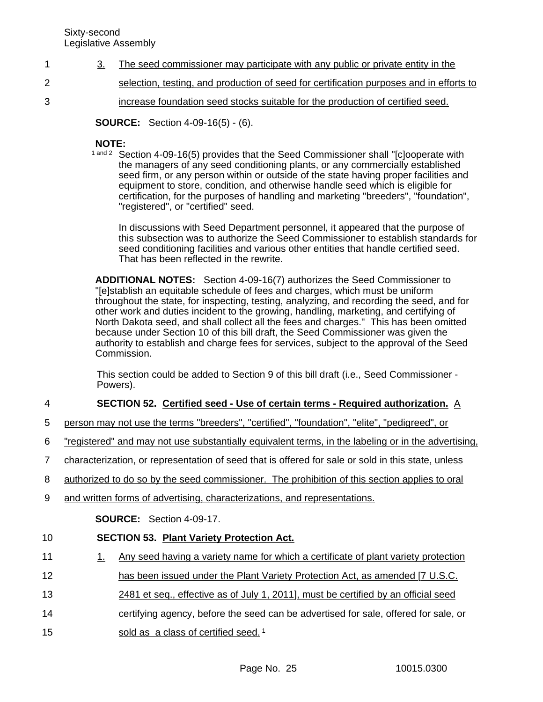- 3. The seed commissioner may participate with any public or private entity in the 1
- selection, testing, and production of seed for certification purposes and in efforts to 2
	- increase foundation seed stocks suitable for the production of certified seed.

**SOURCE:** Section 4-09-16(5) - (6).

# **NOTE:**

3

1 and 2 Section 4-09-16(5) provides that the Seed Commissioner shall "[c]ooperate with the managers of any seed conditioning plants, or any commercially established seed firm, or any person within or outside of the state having proper facilities and equipment to store, condition, and otherwise handle seed which is eligible for certification, for the purposes of handling and marketing "breeders", "foundation", "registered", or "certified" seed.

In discussions with Seed Department personnel, it appeared that the purpose of this subsection was to authorize the Seed Commissioner to establish standards for seed conditioning facilities and various other entities that handle certified seed. That has been reflected in the rewrite.

**ADDITIONAL NOTES:** Section 4-09-16(7) authorizes the Seed Commissioner to "[e]stablish an equitable schedule of fees and charges, which must be uniform throughout the state, for inspecting, testing, analyzing, and recording the seed, and for other work and duties incident to the growing, handling, marketing, and certifying of North Dakota seed, and shall collect all the fees and charges." This has been omitted because under Section 10 of this bill draft, the Seed Commissioner was given the authority to establish and charge fees for services, subject to the approval of the Seed Commission.

This section could be added to Section 9 of this bill draft (i.e., Seed Commissioner - Powers).

## **SECTION 52. Certified seed - Use of certain terms - Required authorization.** A 4

- person may not use the terms "breeders", "certified", "foundation", "elite", "pedigreed", or 5
- "registered" and may not use substantially equivalent terms, in the labeling or in the advertising, 6
- characterization, or representation of seed that is offered for sale or sold in this state, unless 7
- authorized to do so by the seed commissioner. The prohibition of this section applies to oral 8
- and written forms of advertising, characterizations, and representations. 9

**SOURCE:** Section 4-09-17.

## **SECTION 53. Plant Variety Protection Act.** 10

- 1. Any seed having a variety name for which a certificate of plant variety protection 11
- has been issued under the Plant Variety Protection Act, as amended [7 U.S.C. 12
- 2481 et seq., effective as of July 1, 2011], must be certified by an official seed 13
- certifying agency, before the seed can be advertised for sale, offered for sale, or 14
- sold as a class of certified seed.<sup>1</sup> 15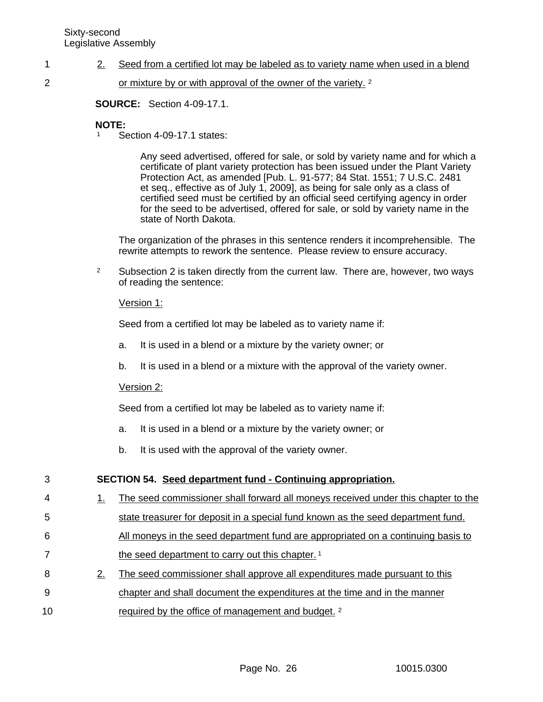- 2. Seed from a certified lot may be labeled as to variety name when used in a blend 1
- 2

or mixture by or with approval of the owner of the variety. <sup>2</sup>

**SOURCE:** Section 4-09-17.1.

# **NOTE:**

<sup>1</sup> Section 4-09-17.1 states:

Any seed advertised, offered for sale, or sold by variety name and for which a certificate of plant variety protection has been issued under the Plant Variety Protection Act, as amended [Pub. L. 91-577; 84 Stat. 1551; 7 U.S.C. 2481 et seq., effective as of July 1, 2009], as being for sale only as a class of certified seed must be certified by an official seed certifying agency in order for the seed to be advertised, offered for sale, or sold by variety name in the state of North Dakota.

The organization of the phrases in this sentence renders it incomprehensible. The rewrite attempts to rework the sentence. Please review to ensure accuracy.

<sup>2</sup> Subsection 2 is taken directly from the current law. There are, however, two ways of reading the sentence:

# Version 1:

Seed from a certified lot may be labeled as to variety name if:

- a. It is used in a blend or a mixture by the variety owner; or
- b. It is used in a blend or a mixture with the approval of the variety owner.

# Version 2:

Seed from a certified lot may be labeled as to variety name if:

- a. It is used in a blend or a mixture by the variety owner; or
- b. It is used with the approval of the variety owner.

## **SECTION 54. Seed department fund - Continuing appropriation.** 3

- 1. The seed commissioner shall forward all moneys received under this chapter to the 4
- state treasurer for deposit in a special fund known as the seed department fund. All moneys in the seed department fund are appropriated on a continuing basis to 5 6
- the seed department to carry out this chapter.<sup>1</sup> 7
- 2. The seed commissioner shall approve all expenditures made pursuant to this chapter and shall document the expenditures at the time and in the manner required by the office of management and budget. <sup>2</sup> 8 9 10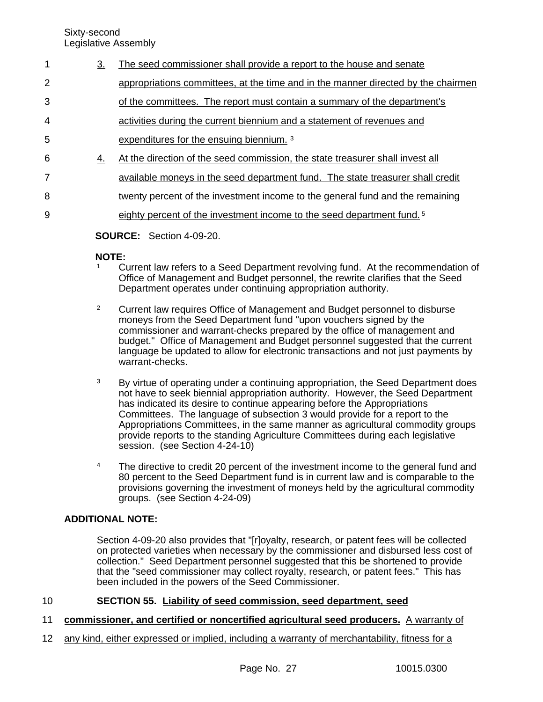Sixty-second

Legislative Assembly

3. The seed commissioner shall provide a report to the house and senate appropriations committees, at the time and in the manner directed by the chairmen of the committees. The report must contain a summary of the department's activities during the current biennium and a statement of revenues and expenditures for the ensuing biennium. <sup>3</sup> 4. At the direction of the seed commission, the state treasurer shall invest all available moneys in the seed department fund. The state treasurer shall credit twenty percent of the investment income to the general fund and the remaining eighty percent of the investment income to the seed department fund. <sup>5</sup> **SOURCE:** Section 4-09-20. 1 2 3 4 5 6 7 8 9

# **NOTE:**

- <sup>1</sup> Current law refers to a Seed Department revolving fund. At the recommendation of Office of Management and Budget personnel, the rewrite clarifies that the Seed Department operates under continuing appropriation authority.
- <sup>2</sup> Current law requires Office of Management and Budget personnel to disburse moneys from the Seed Department fund "upon vouchers signed by the commissioner and warrant-checks prepared by the office of management and budget." Office of Management and Budget personnel suggested that the current language be updated to allow for electronic transactions and not just payments by warrant-checks.
- <sup>3</sup> By virtue of operating under a continuing appropriation, the Seed Department does not have to seek biennial appropriation authority. However, the Seed Department has indicated its desire to continue appearing before the Appropriations Committees. The language of subsection 3 would provide for a report to the Appropriations Committees, in the same manner as agricultural commodity groups provide reports to the standing Agriculture Committees during each legislative session. (see Section 4-24-10)
- <sup>4</sup> The directive to credit 20 percent of the investment income to the general fund and 80 percent to the Seed Department fund is in current law and is comparable to the provisions governing the investment of moneys held by the agricultural commodity groups. (see Section 4-24-09)

# **ADDITIONAL NOTE:**

Section 4-09-20 also provides that "[r]oyalty, research, or patent fees will be collected on protected varieties when necessary by the commissioner and disbursed less cost of collection." Seed Department personnel suggested that this be shortened to provide that the "seed commissioner may collect royalty, research, or patent fees." This has been included in the powers of the Seed Commissioner.

## **SECTION 55. Liability of seed commission, seed department, seed** 10

- **commissioner, and certified or noncertified agricultural seed producers.** A warranty of 11
- any kind, either expressed or implied, including a warranty of merchantability, fitness for a 12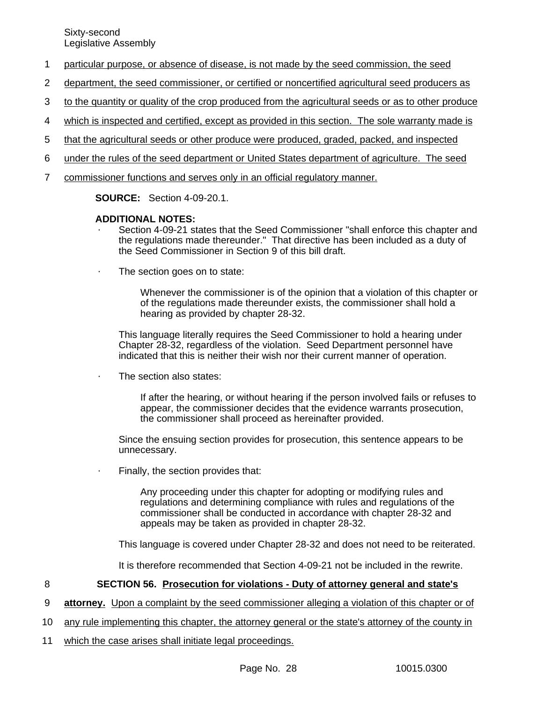- particular purpose, or absence of disease, is not made by the seed commission, the seed 1
- department, the seed commissioner, or certified or noncertified agricultural seed producers as 2
- to the quantity or quality of the crop produced from the agricultural seeds or as to other produce 3
- which is inspected and certified, except as provided in this section. The sole warranty made is 4
- that the agricultural seeds or other produce were produced, graded, packed, and inspected 5
- under the rules of the seed department or United States department of agriculture. The seed 6
- commissioner functions and serves only in an official regulatory manner. 7

**SOURCE:** Section 4-09-20.1.

# **ADDITIONAL NOTES:**

- Section 4-09-21 states that the Seed Commissioner "shall enforce this chapter and the regulations made thereunder." That directive has been included as a duty of the Seed Commissioner in Section 9 of this bill draft.
- The section goes on to state:

Whenever the commissioner is of the opinion that a violation of this chapter or of the regulations made thereunder exists, the commissioner shall hold a hearing as provided by chapter 28-32.

This language literally requires the Seed Commissioner to hold a hearing under Chapter 28-32, regardless of the violation. Seed Department personnel have indicated that this is neither their wish nor their current manner of operation.

The section also states:

If after the hearing, or without hearing if the person involved fails or refuses to appear, the commissioner decides that the evidence warrants prosecution, the commissioner shall proceed as hereinafter provided.

Since the ensuing section provides for prosecution, this sentence appears to be unnecessary.

Finally, the section provides that:

Any proceeding under this chapter for adopting or modifying rules and regulations and determining compliance with rules and regulations of the commissioner shall be conducted in accordance with chapter 28-32 and appeals may be taken as provided in chapter 28-32.

This language is covered under Chapter 28-32 and does not need to be reiterated.

It is therefore recommended that Section 4-09-21 not be included in the rewrite.

#### **SECTION 56. Prosecution for violations - Duty of attorney general and state's** 8

**attorney.** Upon a complaint by the seed commissioner alleging a violation of this chapter or of 9

- any rule implementing this chapter, the attorney general or the state's attorney of the county in 10
- which the case arises shall initiate legal proceedings. 11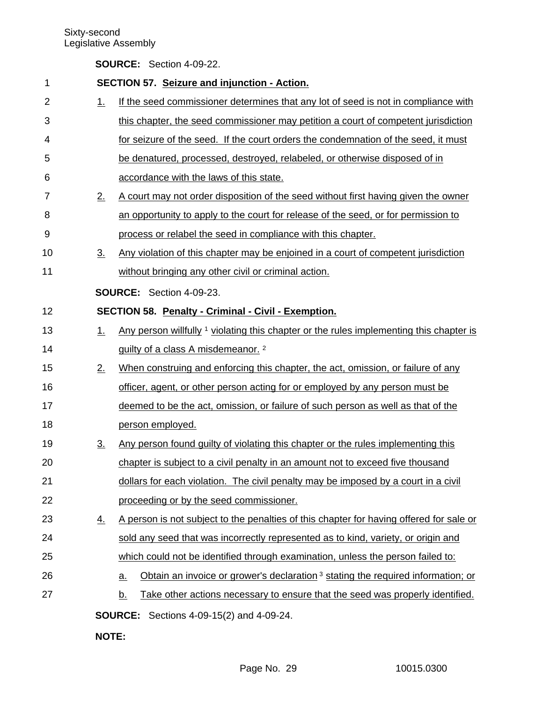|  | <b>SOURCE:</b> Section 4-09-22. |
|--|---------------------------------|
|--|---------------------------------|

| 1              |                   | <b>SECTION 57. Seizure and injunction - Action.</b>                                                      |  |  |  |
|----------------|-------------------|----------------------------------------------------------------------------------------------------------|--|--|--|
| $\overline{2}$ | 1.                | If the seed commissioner determines that any lot of seed is not in compliance with                       |  |  |  |
| 3              |                   | this chapter, the seed commissioner may petition a court of competent jurisdiction                       |  |  |  |
| 4              |                   | for seizure of the seed. If the court orders the condemnation of the seed, it must                       |  |  |  |
| 5              |                   | be denatured, processed, destroyed, relabeled, or otherwise disposed of in                               |  |  |  |
| 6              |                   | accordance with the laws of this state.                                                                  |  |  |  |
| 7              | 2.                | A court may not order disposition of the seed without first having given the owner                       |  |  |  |
| 8              |                   | an opportunity to apply to the court for release of the seed, or for permission to                       |  |  |  |
| 9              |                   | process or relabel the seed in compliance with this chapter.                                             |  |  |  |
| 10             | $\underline{3}$ . | Any violation of this chapter may be enjoined in a court of competent jurisdiction                       |  |  |  |
| 11             |                   | without bringing any other civil or criminal action.                                                     |  |  |  |
|                |                   | SOURCE: Section 4-09-23.                                                                                 |  |  |  |
| 12             |                   | <b>SECTION 58. Penalty - Criminal - Civil - Exemption.</b>                                               |  |  |  |
| 13             | $1_{-}$           | Any person willfully 1 yiolating this chapter or the rules implementing this chapter is                  |  |  |  |
| 14             |                   | guilty of a class A misdemeanor. <sup>2</sup>                                                            |  |  |  |
| 15             | 2.                | When construing and enforcing this chapter, the act, omission, or failure of any                         |  |  |  |
| 16             |                   | officer, agent, or other person acting for or employed by any person must be                             |  |  |  |
| 17             |                   | deemed to be the act, omission, or failure of such person as well as that of the                         |  |  |  |
| 18             |                   | person employed.                                                                                         |  |  |  |
| 19             | $\underline{3}$ . | Any person found guilty of violating this chapter or the rules implementing this                         |  |  |  |
| 20             |                   | chapter is subject to a civil penalty in an amount not to exceed five thousand                           |  |  |  |
| 21             |                   | dollars for each violation. The civil penalty may be imposed by a court in a civil                       |  |  |  |
| 22             |                   | proceeding or by the seed commissioner.                                                                  |  |  |  |
| 23             | <u>4.</u>         | A person is not subject to the penalties of this chapter for having offered for sale or                  |  |  |  |
| 24             |                   | sold any seed that was incorrectly represented as to kind, variety, or origin and                        |  |  |  |
| 25             |                   | which could not be identified through examination, unless the person failed to:                          |  |  |  |
| 26             |                   | Obtain an invoice or grower's declaration <sup>3</sup> stating the required information; or<br><u>a.</u> |  |  |  |
| 27             |                   | Take other actions necessary to ensure that the seed was properly identified.<br><u>b.</u>               |  |  |  |
|                |                   | <b>SOURCE:</b> Sections 4-09-15(2) and 4-09-24.                                                          |  |  |  |
|                |                   |                                                                                                          |  |  |  |

**NOTE:**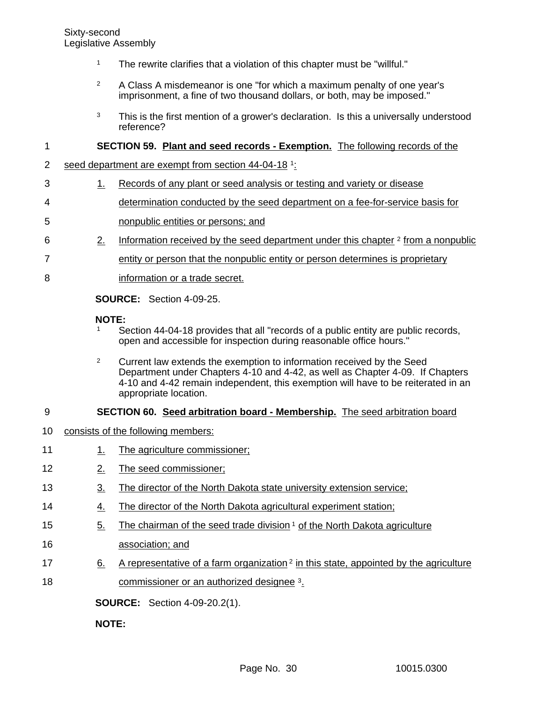- <sup>1</sup> The rewrite clarifies that a violation of this chapter must be "willful."
- <sup>2</sup> A Class A misdemeanor is one "for which a maximum penalty of one year's imprisonment, a fine of two thousand dollars, or both, may be imposed."
- <sup>3</sup> This is the first mention of a grower's declaration. Is this a universally understood reference?

## **SECTION 59. Plant and seed records - Exemption.** The following records of the 1

- seed department are exempt from section 44-04-18 1: 2
- 1. Records of any plant or seed analysis or testing and variety or disease 3
- determination conducted by the seed department on a fee-for-service basis for 4
- nonpublic entities or persons; and 5
- 2. Information received by the seed department under this chapter  $2$  from a nonpublic 6
- entity or person that the nonpublic entity or person determines is proprietary 7
- information or a trade secret. 8

**SOURCE:** Section 4-09-25.

# **NOTE:**

- <sup>1</sup> Section 44-04-18 provides that all "records of a public entity are public records, open and accessible for inspection during reasonable office hours."
- <sup>2</sup> Current law extends the exemption to information received by the Seed Department under Chapters 4-10 and 4-42, as well as Chapter 4-09. If Chapters 4-10 and 4-42 remain independent, this exemption will have to be reiterated in an appropriate location.

#### **SECTION 60. Seed arbitration board - Membership.** The seed arbitration board 9

- consists of the following members: 10
- 1. The agriculture commissioner; 11
- 2. The seed commissioner; 12
- 3. The director of the North Dakota state university extension service; 13
- 4. The director of the North Dakota agricultural experiment station; 14
- 5. The chairman of the seed trade division  $1$  of the North Dakota agriculture 15
- association; and 16
- 6. A representative of a farm organization  $2$  in this state, appointed by the agriculture commissioner or an authorized designee 3. 17 18

**SOURCE:** Section 4-09-20.2(1).

**NOTE:**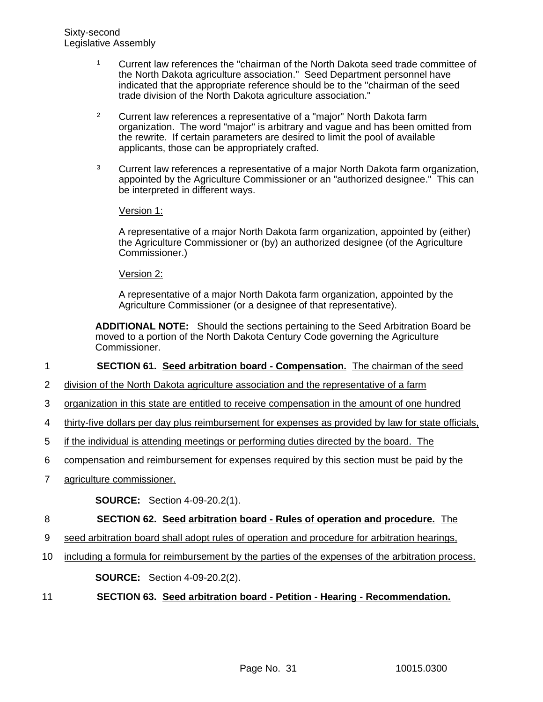- <sup>1</sup> Current law references the "chairman of the North Dakota seed trade committee of the North Dakota agriculture association." Seed Department personnel have indicated that the appropriate reference should be to the "chairman of the seed trade division of the North Dakota agriculture association."
- <sup>2</sup> Current law references a representative of a "major" North Dakota farm organization. The word "major" is arbitrary and vague and has been omitted from the rewrite. If certain parameters are desired to limit the pool of available applicants, those can be appropriately crafted.
- <sup>3</sup> Current law references a representative of a major North Dakota farm organization, appointed by the Agriculture Commissioner or an "authorized designee." This can be interpreted in different ways.

Version 1:

A representative of a major North Dakota farm organization, appointed by (either) the Agriculture Commissioner or (by) an authorized designee (of the Agriculture Commissioner.)

Version 2:

A representative of a major North Dakota farm organization, appointed by the Agriculture Commissioner (or a designee of that representative).

**ADDITIONAL NOTE:** Should the sections pertaining to the Seed Arbitration Board be moved to a portion of the North Dakota Century Code governing the Agriculture Commissioner.

**SECTION 61. Seed arbitration board - Compensation.** The chairman of the seed 1

- division of the North Dakota agriculture association and the representative of a farm 2
- organization in this state are entitled to receive compensation in the amount of one hundred 3
- thirty-five dollars per day plus reimbursement for expenses as provided by law for state officials, 4
- if the individual is attending meetings or performing duties directed by the board. The 5
- compensation and reimbursement for expenses required by this section must be paid by the 6
- agriculture commissioner. 7

**SOURCE:** Section 4-09-20.2(1).

## **SECTION 62. Seed arbitration board - Rules of operation and procedure.** The 8

- seed arbitration board shall adopt rules of operation and procedure for arbitration hearings, 9
- including a formula for reimbursement by the parties of the expenses of the arbitration process. **SOURCE:** Section 4-09-20.2(2). 10
- **SECTION 63. Seed arbitration board Petition Hearing Recommendation.** 11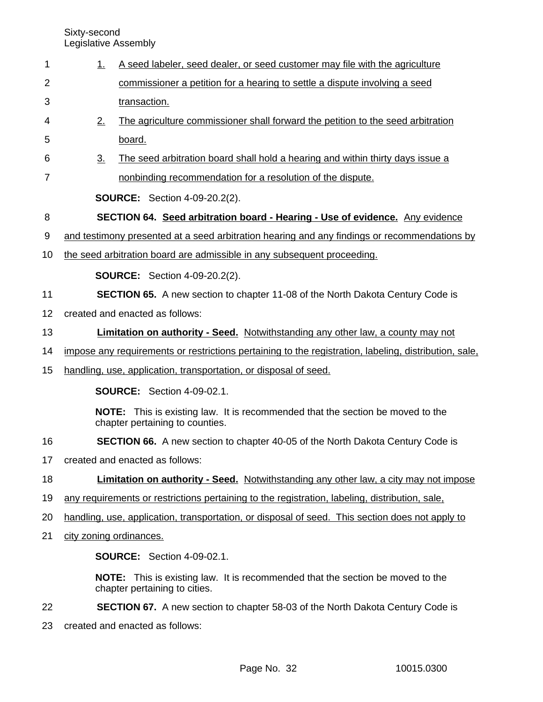1

|                         | commissioner a petition for a hearing to settle a dispute involving a seed                                               |
|-------------------------|--------------------------------------------------------------------------------------------------------------------------|
|                         | transaction.                                                                                                             |
| 2.                      | The agriculture commissioner shall forward the petition to the seed arbitration                                          |
|                         | board.                                                                                                                   |
| $\underline{3}$ .       | The seed arbitration board shall hold a hearing and within thirty days issue a                                           |
|                         | nonbinding recommendation for a resolution of the dispute.                                                               |
|                         | <b>SOURCE:</b> Section 4-09-20.2(2).                                                                                     |
|                         | SECTION 64. Seed arbitration board - Hearing - Use of evidence. Any evidence                                             |
|                         | and testimony presented at a seed arbitration hearing and any findings or recommendations by                             |
|                         | the seed arbitration board are admissible in any subsequent proceeding.                                                  |
|                         | <b>SOURCE:</b> Section 4-09-20.2(2).                                                                                     |
|                         | SECTION 65. A new section to chapter 11-08 of the North Dakota Century Code is                                           |
|                         | created and enacted as follows:                                                                                          |
|                         | <b>Limitation on authority - Seed.</b> Notwithstanding any other law, a county may not                                   |
|                         | impose any requirements or restrictions pertaining to the registration, labeling, distribution, sale,                    |
|                         | handling, use, application, transportation, or disposal of seed.                                                         |
|                         | <b>SOURCE:</b> Section 4-09-02.1.                                                                                        |
|                         | <b>NOTE:</b> This is existing law. It is recommended that the section be moved to the<br>chapter pertaining to counties. |
|                         | <b>SECTION 66.</b> A new section to chapter 40-05 of the North Dakota Century Code is                                    |
|                         | created and enacted as follows:                                                                                          |
|                         | <b>Limitation on authority - Seed.</b> Notwithstanding any other law, a city may not impose                              |
|                         | any requirements or restrictions pertaining to the registration, labeling, distribution, sale,                           |
|                         | handling, use, application, transportation, or disposal of seed. This section does not apply to                          |
| city zoning ordinances. |                                                                                                                          |
|                         | <b>SOURCE:</b> Section 4-09-02.1.                                                                                        |
|                         | <b>NOTE:</b> This is existing law. It is recommended that the section be moved to the<br>chapter pertaining to cities.   |
|                         | <b>SECTION 67.</b> A new section to chapter 58-03 of the North Dakota Century Code is                                    |
|                         | created and enacted as follows:                                                                                          |
|                         |                                                                                                                          |

1. A seed labeler, seed dealer, or seed customer may file with the agriculture